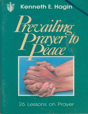

# **Kenneth E. Hagin**



26 Lessons on Prayer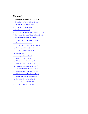# *Contents*

- 1. Seven Steps to Answered Prayer (Part 1)
- 2. Seven Steps to Answered Prayer (Part 2)
- 3. The Prayer That Unlocks Heaven
- 4. The [Authority](#page-14-0) of Jesus' Name
- 5. The Prayer of Agreement
- 6. The Six Most [Important](#page-22-0) Things in Prayer (Part 1)
- 7. The Six Most [Important](#page-26-0) Things in Prayer (Part 2)
- 8. Interpreting Our Prayers in the Spirit
- 9. Tongues A Flowing Stream of Praise
- 10. Prayer on a New [Dimension](#page-37-0)
- 11. The Prayers of Petition and Consecration
- 12. The Prayer of Worship (Part 1)
- 13. The Prayer of Worship (Part 2)
- 14. United Prayer
- 15. The Prayer of Commitment
- 16. What Jesus Said About Prayer (Part 1)
- 17. What Jesus Said About Prayer (Part 2)
- 18. What Jesus Said About Prayer (Part 3)
- 19. What Jesus Said About Prayer (Part 4)
- 20. What Paul Said About Prayer (Part 1)
- 21. What Paul Said About Prayer (Part 2)
- 22. What Others Said About Prayer (Part 1)
- 23. What Others Said About Prayer (Part 2)
- 24. The Will of God in Prayer (Part 1)
- 25. The Will of God in Prayer (Part 2)
- 26. The Will of God in Prayer (Part 3)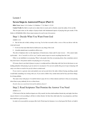# <span id="page-2-0"></span>**Seven Steps to Answered Prayer (Part 1)**

**Bible Texts:** James 1:6-8; Joshua 1:8; Matthew 7:7,8; Mark 11:23,24

**Central Truth:** By faith we reach out to claim what weneed,and we thereby create the reality of it in our life.

This two-part series on the subject of prayer deals with fundamental aspects of praying that gets results. If the believer will faithfully follow these steps in prayer, he can be sure of an answer.

# Step 1: Decide What You Want From God

#### JAMES 1:6-8

6 But let him ask in faith, nothing waver ing. For he that wavereth is like a wave of the sea driven with the wind and tossed.

7 For let not that man think that he shall receive any thing of the Lord.

8 A double minded man is unstable in all his ways.

The above Scriptures show us the importance of decisiveness. James said if a man wavers — if he cannot make up his mind —he is *"unstable in all his ways"* and he cannot expect to receive anything from the Lord.

Often we are indefinite in our praying. When I ask people what they are praying about, they sometimes answer they don't know. One person said he was praying *just to be praying*.

Of course, there is one kind of prayer we pray to worship and have fellowship with God, but in this lesson we are dealing primarily with praying to get an answer to our prayers. If we are not careful, this *general* type of praying will carry over when weneed to be *specific* about a certain need.

If you went to a grocery store and pushed your cart up and down the aisles without buying anything, people would think something was wrong with you. If you send a child to buy certain items and he buys just those things, he isbeing definite.

The same is true with prayer. It would be better to pray for two or three minutes and know what you are praying about than to pray aimlessly for two or three hours.

*Decide what you want from God and bedefiniteabout it!*

# Step 2: Read Scriptures That Promise the Answer You Need

#### JOSHUA 1:8

8 Thisbook of the law shallnot depart out of thy mouth; but thou shalt meditate therein day and night, that thou mayest observe to do according to all that is written therein: for then thou shalt make thy way prosperous, and then thou shalt have good success.

In order to be successful in our prayer life, God's Word must be foremost. As we feed upon His Word, we build it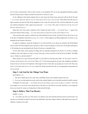into our inner consciousness. Then, in time of need, we are prepared. We can use the appropriate Scriptures against the devil when he tries to make us doubt God and rob us of what we want.

In the wilderness when Satan tempted Jesus to turn stones into bread, Jesus answered with the Word. He said, "... It is written, That man shall not live by bread alone, but by every word of God." Then Satan took Him up on a high mountain and showed Him all the kingdoms of the world. He told Jesus if He would worship him, he would give all these kingdoms to Him. Again Jesus answered, "... *it is written,Thou shalt worship the Lord thy God, and him only shalt thou serve*."

Satan then took Jesus upon a pinnacle of the Temple and said to Him, "... *cast thyself down*…" Again Jesus answered with the Word, saying,"... *It is said,Thou shalt not tempt theLord thy God"* (Luke4:3-12).

Jesus used the same weapon to defeat the devil that all believers have today: the Word of God. All we have to do in the face of temptation and doubt is to say, *"It is written*." If the Scriptures are firmly implanted in our heart, we are prepared for any attacks of the devil.

In matters of guidance, search the Scriptures to see what God has to say about any situation. His Word plainly shows us His will. If the Scriptures don't promise us what we may be seeking, we don't have any business praying for it.We should not want anything that the Word of God says we shouldn't have.

On the other hand, when praying for things that are expressly promised in the Word, we can have complete confidence that God willgive us what we need. Years ago I wrote in red ink on the fly leafof my Bible, "The Bible says it, I believe it, and that settles it!"

Many people try to pray beyond their faith. It is the Word of God that gives faith. *"So then faith cometh by hearing,and hearing by the word of God"* (Rom.10:17). The reason peopledo not pray with confidence and faith is because they do not know the Scriptures well enough to know if what they are praying for is God's will. They may *hope* it is, but they don't *know* it is. As we read God's Word and learn His will, we can appropriate His promises for our every need.

## **Step 3: Ask God for the Things You Want**

#### MATTHEW 7:7,8

- 7 Ask,and it shallbegiven you; seek,and ye shall find; knock,and it shallbeopened unto you:
- 8 For every one that asketh receiveth; and he that seeketh findeth; and to him that knocketh it shall be opened.

In Matthew 6:8 Jesus said, "... *your Father knoweth what things ye have need of, before ye ask him." Yet in the* next chapter, as we see in the versesquoted above, He tellsus to ask Him forourneeds. Therefore, even though He knows our needs, He wants us to bring them to Him and ask His help.

## **Step4: Believe That You Receive**

#### MARK 11:23,24

23 Forverily I say unto you, That whoso ever shallsay unto this mountain, Be thou removed,and be thou cast into the sea; and shall not doubt in his heart, but shall believe that those things which he saith shall come to pass; he shall have whatsoever he saith.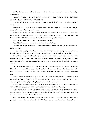24 Therefore I say unto you,What things soeverye desire, when ye pray,believe that ye receive them, and ye shall have them.

*The Amplified* version of the above verse says, "... whatever you ask for in prayer, believe — trust and be confident — that it is granted to you, and you will [get it]."

To understand this better, we need to realize that there are two kinds of truth: sense-knowledge truth and revelation truth.

Some people think truth pertains to things they can see with their physical eyes. But we cannot see the things of the Spirit. They are not flesh; they are not material.

Everything we need is provided forus in the spiritual realm. *"Blessed be the God and Father of ourLord Jesus Christ, who hath blessed us with all spiritual blessings in heavenly places in Christ"* (Eph. 1:3). Our needs have been provided for in Christ Jesus. We may not always be able to see them, but they are there.

When "sense-knowledge truth" contradicts "revelation truth," or the

Word of God, I start walking by revelation truth. I walk by what God says.

That which is in the spiritual realm is made real in the natural realm through faith.Faith grasps it and creates the reality of it in our life.

Therefore, when you pray, believe that you receive that which you are asking for and you shall have it. This is beyond our natural thinking. The natural mind cannot grasp it, but we are to walk by faith and not by sight.

Once while preaching in a small church, I got too warm. When I stepped outdoors after the service, my body was wet with perspiration. When the cold outdoor air hit me in the face, my throat started hurting, and by the time I reached the parking lot, I could hardly speak. The next day my chest started hurting and I couldn't speak above a whisper.

I started reading Scriptures on healing. With my Bible open before me, I prayed silently and said, "Lord, your Word tells me I am healed. If I asked my body if I were healed, the answer would be no. If I asked my feelings if I were healed, the answer would be no. If I were to ask the people around me if I were healed, they would say I was not.

"YourWord says God is truth and every man is a liar.So if I say I'm not healed, I am a liar. YourWord says that God cannot he. Romans3:4 says, *'God forbid:yea, let God be true,but every man a liar;as it is written,That thou mightest be justified in thy sayings,and mightest overcome when thou art judged*.' "

When time came for the evening service, I stepped up to the microphone and said I wanted to thank God that I was healed. The congregation looked at me as if I were crazy, because I was barely whispering.

I began to tell them what the Word of God says about healing. I showed them from the Word that I washealed. I told them what God says is true and that if I said I wasn't healed, I would be lying. I told them that I wanted them to stand and praise God with mebecause I washealed.

As we stood and began praising God, I hadn't said "hallelujah" three times until my voice came back. Then I preached my sermon with a strong,clearvoice. That night the congregation saw an illustration of faith in action.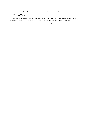All we have to do is ask God for the things we want, and believe that we have them.

# **Memory Text:**

"Ask, and it shall be given you; seek, and ye shall find; knock, and it shall be opened unto you: For every one *that asketh receiveth; and he that seeketh findeth; and to <i>him that knocketh it shall be opened"* (Matt.7:7,8). **THE LESSON IN ACTION:** *"Butbeyedoersof theword,andnothearersonly* **..." (James 1:22).**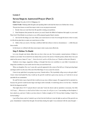# **SevenSteps to Answered Prayer (Part2)**

**Bible Texts:** Proverbs 4:20-22; Philippians 4:6

**Central Truth:** Thinking faith thoughts and speaking faith words lead the heart out of defeat into victory.

The previous lesson covered four steps to take to see our prayers answered:

1. Decide what you want from God. Be specific in stating your petitions.

2. Read Scriptures that promise the answer you need. Search the Bible for Scriptures that apply to your need. Plant God's Word firmly in your heart so you will be prepared against Satan's attacks.

3. Ask God for the thingsyou want. Make your wantsknown to God. Even though He knows what we need, it is His divine plan that we make our wants known to Him.

4. Believe that you receive. Develop a stubborn faith that refuses to look at circumstances — a faith that pro duces results.

In this lesson we will deal with three more steps to take to pray more effectively.

## **Step5: Refuse To Doubt**

Let every thought and desire affirm that you have what you ask. Never permit a mental picture of failure to remain in your mind. Never doubt for one minute that you have the answer. If doubts persist, rebuke them. Get your mind on the answer. James4:7 says,"... *Resist thedevil,and he will flee from you*." Doubt isof thedevil. Resist it.

Eradicate every image, suggestion, feeling, or thought that does not contribute to your faith. Concentrate on things that contribute to yourconfes sion for what you need from God.

When our daughter, Pat, was 3 years old, a growth appeared in the corner of her left eye. It kept growing larger and larger until it was the size of the end of her little finger. It was a cause for concern.

I knew in my spirit that it wasgoing to go away.Friends told us,"Oh, it probably willgo away as shegetsolder." I knew when God healed Pat, they would say the growth would have gone away anyway, so I took her to an eye specialist for an examination.

He said Pat had a type of growth that would never go away without surgery. He suggested she be operated on, because the growth would become larger and larger until eventually it would hang down over her face. I thanked him for his diagnosis and left.

That night about 10:15 I prayed about it and said, "Lord, the doctor said an operation is necessary, but John 16:23 says, '...*Whatsoeverye shall ask the Father in myname,he will give it you.'* I am standing on thatScripture. I have asked you, and now I believe you have done it. I believe tonight at 10:15 for my baby's healing. I thank You for the healing."

I got off my knees, and as I started to go to bed, the devil told me to turn the light on and see if the growth was gone. Immediately I resisted that thought. Several times during the night I was awakened with the same thought —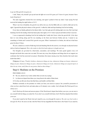to go see if the growth was gone yet.

I said, "Satan, why should I get up and turn the light on to see if it's gone yet? I know it's gone, because I have God'sWord for it."

The same suggestion returned the next morning, and again I pushed it from my mind. I kept saying Pat had received the healing the night before at 10:15.

When I saw her at breakfast, the growth was still on her eye, but the Bible tells us to walk by faith and not by sight. I ignored the physical evidence of the growth. I walked by faith and kept thanking God for her healing.

Every time our family gathered at the dinner table, I saw that ugly growth sticking right out at me. But I just kept thanking God for the healing which had taken place that night at 10:15 when I prayed and believed that I received.

I was so engrossed in thanking God for the healing that I really don't know when the growth left. A few days later we were driving along and Pat was standing on the front seat between Oretha and me. I turned to say something to Oretha and I noticed Pat's growth was gone. When I mentioned it to Oretha, she told me it had been gone forabout 10 days.

We saw a miracle as a result of believing God and thanking Him for the answer, even though our physical senses told us it had not happened.*This is the realm in which thebattleofprayer is fought and won.*

Our thoughts are governed by observation, association, and teachings. We must guard against every evil thought and doubt that comes into our mind. We must stay away from allplaces and things that do not support our confession that God has answered our prayer. (Sometimes this means staying away from churches that teach more doubt than faith.)

Philippians4:8 says, *"Finally,brethren, whatsoever things are true, whatsoever things are honest, whatsoever thingsare just, whatsoever thingsare pure, whatsoever thingsare lovely, whatsoever thingsare of good report; if therebeany virtue,and if therebeanypraise, thinkon these things."*

# Step 6: Meditate on the Promises

PROVERBS 4:20-22

20 My son,attend to my words; incline thine earunto my sayings.

21 Let them not depart from thine eyes; keep them in the midst of thine heart.

22 For they are life unto those that find them, and health to all their flesh.

Meditate constantly on the promises on which you base your answer to prayer. See yourself in possession of what you have asked from God, and make plans as if it already were a reality. God will make His Word good ifyou willact on it.

God's Word says He hears and answers prayer. If the Word doesn't depart from before your eyes, you are sure to see yourself with the things you asked for. If you don't see yourself with them, God's Word has departed from before your eyes.

Ifyou don't stand by the Word, God can't stand by you, even though He wants to.*The only way God works is through His Word.* He moves in line with His Word. He has magnified His Word above His Name! If you stand by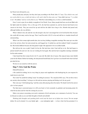the Word, God will stand by you.

Many people pray and pray,but they don't pray according to the Word. John 15:7 says, *"If ye abide in me,and* my words abide in you, ye shall ask what ye will, and it shall be done unto you," Jesus didn't just say, "// ye abide *in*  $me''$ ; He added, "and my words abide in you." With His words abiding in us, we have a solid foundation.

Once I went to pray for an elderly evangelist in Fort Worth, Texas. Many people had been saved and filled with the Spirit under her ministry. Now, at the age of 82, she had been operated on, and her doctors had found seven cancers in her body. They just sewed her up and told her she didn't have long to live. Months had passed and, although bedfast, she was stillalive.

When I talked to her, she said she was old enough to die, but I encouraged her to let God heal her first, because she could still win many souls at her age. Then I read Proverbs 4:20-22 to her and told her to visualize herself well and preaching.

When I saw this woman eight months later, she was busy holding evangelistic meetings! She came up to me after one of my services, threw her arms around me, and hugged me. It startled me, and she realized I hadn't recognized her. She looked different because she had gained weight. She appeared to be in excellent health.

She told me she was so glad I hadn't let her die. She had done what I had told her to do: She had begun to picture herself well, and now she was out working for God again.She said she had evangelistic meetings scheduled for the entire summer.

I later heard that this woman lived to be 91 years old.She didn't die of cancer.She enjoyed many more fruitful years for the Master. Before her healing, she had pictured herself dead, but I got her to see herself with what God had provided forher.

We have to see ourselves with the answer.

#### **Step 7: Give God the Praise**

#### PHILIPPIANS<sub>4:6</sub>

6 Be careful for nothing; but in every thing by prayer and supplication with thanksgiving let your requests be madeknown unto God.

The words "be careful fornothing" mean "in nothing be anxious."*The Amplified Bible* says, "Do not fret orhave any anxiety about anything." As long as we fret and are anxious, praying and fasting won't do any good.

This verse says "with thanksgiving," and this comes after praying about the matter. We thank God for the answer *after* we have prayed.

The final step to answered prayer is to lift your heart to God constantly in gratitude and increasing praise for what He has done and for what He is doing for you now.

Make every prayer concerning your need a statement of *faith* and praise, not a statement of *unbelief.* You can do this just as easily as you can think thoughts of doubt and unbelief.

*Thinking faith thoughts and speaking faith words lead the heart out of defeat into victory!* Do not accept defeat. Do not be denied. It is your family right — your redemption right — to have what God has promised. It is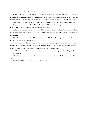yours, and it will come. Accept it, and it will become a reality.

Andrew Murray said, "It is not good taste to ask God for the same thing over and over again. If, when you do pray again for something that hasn't materialized, don't pray for it in the same way, because that would be unbelief. Remind God that you asked for it and what His Word says, and tell Him you are expecting it. Then thank Him for it."

*Often people undo their prayers!* They get into unbelief and stay there, as if they were spinning their wheels.

During a convention once in Texas, I heard Rev. Raymond T. Richey lead in prayer for a man who was in the hospital, dying. After we prayed, we thanked God that He had heard us.

Brother Richey started to walk away from the pulpit, but then turned around and went back to the microphone. He asked how many in the congregation were going to keep praying for this man in the hospital. Nearly everyone raised his hand.

"What do you want to do that for?" Brother Richey asked. "We already have prayed for him. Now let us keep praising God because He has healed this man."

At the close of the service, someone came in and announced that the dying man had suddenly revived and was going to be all right. He had seen Jesus walk into his room and say, "I am the Lord that healeth thee." He had awakened and immediately was well. This had happened while we had been praying.

The Christian who practices these seven steps to answered prayer willdiscovergreat victory in hisprayer life. Memory Text:

"If ye abide in me, and my words abide in you, ye shall ask what ye will, and it shall be done unto you" (John  $15:7$ ).

THE LESSON IN ACTION: *"Butbe ye doersof the word, and nothearersonly* ..." (James1:22).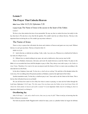# <span id="page-10-0"></span>**The Prayer That Unlocks Heaven**

**Bible Texts:** John 16:23,24; Ephesians 5:20

**Central Truth:** The Name of Jesus is the access to the heart of the Father.

Lesson 3

We have a key that unlocks the door of our automobile. We may say that we unlock the door, but really it is the key that does it. We also have a key that fits the ignition. We couldn't start the car without this key. This key is the important factor in driving the car.We couldn't get anywhere without it.

# The Name of Jesus

There is a key to prayer that willunlock the doors and windows of heaven and grant our every need. Without thiskey we can't get anywhere. Thiskey is found in John 16:

JOHN 16:23,24

23 And in that day ye shall ask me nothing. Verily, verily, I say unto you, Whatsoever ye shall ask the Father in my name, he will give it you.

24 Hitherto have ye asked nothing in my name: ask, and ye shall receive, that your joy may be full.

Jesus is our Mediator, Intercessor, Advocate, and Lord. He stands between us and the Father. No place in the Bible is it ever recorded that Jesus told His disciples to pray to Him. They always were told to pray *to the Father in Jesus' Name.* Therefore, if we want to be sure our prayers reach the throne of God, we must come according to the rules laid down in HisWord.

In the aboveScripture, Jesus said, *"In that day ye shall ask me nothing.*" He said this to His disciples before He went away. He was talking about His present position as Mediator, seated at the right hand of the Father.

Another translation reads, "In that day ye shall not pray to me." Jesus said to ask the Father in His Name. This is the key that will unlock heaven in our behalf.

We can tell Jesus how much we love Him, but when it comes to praying, we must ask the Father through the Lord Jesus. Ephesians 3:14,15 says, *"For this cause I bow my knees unto the Father of our Lord Jesus Christ, Of whom the whole family in heaven and earth is named.*" It is not important which *church* we belong to, but it is important which *family* we belong to.

## **Overflowing Joy**

John 16:24 says, "...*ask, and ye shall receive, that your joy may be full.*" There is real joy in knowing that the Father will answer our prayers.

The beloved preacher Smith Wigglesworth worked for many years as a plumber before he began his full-time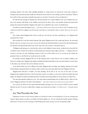preaching ministry. One time while installing plumbing in a large house, he noticed the owner kept coming in, looking at him, and then leaving. Finally she entered the room where he was working, sat down, and asked, "What in the world is it that causes that wonderful expression on your face? You look as if you are full of joy."

He told her that morning at breakfast his wife had told him two of their children were very ill. Before they ate, they went upstairs, laid hands on the children, and prayed for them. They were instantly healed and joined their parents downstairs for breakfast. Wigglesworth said it was wonderful to have such a wonderful Jesus.

He told the woman theScripture says,"...*ask,and ye shall receive, that your joy maybe full.*" (Certainly our joy could not be full if our children were ill, but the Lord told us to ask Him for what we need, *"that your joy may be full.")*

The woman asked Wigglesworth if Jesus would save her and give her this wonderful joy, too. Wigglesworth assured her He would.

She accepted the Lord and started rejoicing. She asked Wigglesworth if she could keep this joy. He answered that the only way to keep it was to give it away. He told her she should tellall the women at her club meeting about her salvation. She did and all of them were saved. This is the way to keep it: Tell others about it.

If Wigglesworth had gone to work that day with two sick children at home, his joy would not have been full. He would have been worried. He would have looked distressed. Instead, he had a light on his face — a radiance that was obvious to all who saw him. Something seemed to flow out of him. What was it? It was the joy the Father has promised when we ask Him for our needs and receive in faith.

On another occasion Wigglesworth was in dire financial need. At that time he was in London visiting in the home of a wealthy man. Wigglesworth simply committed his financial burden to the Lord and refused to worry about it. He told no one. Heknew the Lord would take careof it.

As he and his friend were out walking in the park, Wigglesworth was happy and singing, rejoicing in his spirit. His rich friend commented that he would give all he owned to have the same spirit of joy that Wigglesworth had.

Wigglesworth told him it wouldn't cost him anything; all he had to do was cast *all* his cares on Jesus. Wigglesworth explained that this is what he had done, and he was without a care in the world. He could be free and happy. He still did not mention his financial need to his friend, but instead talked of victory and joy in Christ Jesus.

One man had material wealth but no joy. The other lacked material things but was filled with joy. What was the secret? Wigglesworth knew the truth of theScripture,"...*ask,and ye shall receive, that your joy maybe full*."

Can your joy be full if you have great financialburdens pressing you? Can your joy be full if you have unpaid bills that are due? Ifyou have asked Him to supply yourneeds and you believe *"ye shall receive,"* your joy can be full.

# Joy That Precedes the Fact

Sometimes you have to have the joy before you will receive what you are praying for. If you are worrying and trying to figure matters out alone, you hinder God from helping you. You are carrying the burden instead of letting Him carry it. In fact, if you are worrying, it will do little good to pray, because you are not praying in faith.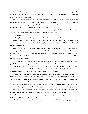"Be careful for nothing; but in every thing by prayer and supplication with thanksgiving let your requests be made known unto God. And the peace of God, which passeth all understanding, shall keep your hearts and minds *through Christ Jesus"* (Phil.4:6,7).

When I was holding evangelistic meetings, I often would drive straight through from California to Texas. My mother once told me that when she knew I was traveling, she prayed that the Lord would be with me. And she stayed awake at night worrying, waiting for the telephone to ring with news I had been in an accident. I told her she was wasting her time*praying* if she wasgoing to stay awake *worrying.*

Prayer is more than that. "... *ask, and ye shall receive, that your joy may be full*." We should be full of joy even *before* we receive what we ask for because we have His Word that He heard our prayer.

#### EPHESIANS 5:20

20 Giving thanks always for all things unto God and the Father in the name of our Lord Jesus Christ.

Notice here that Paul tells us to give thanks for all things "unto God and the Father" in the Name of Jesus. Paul tells us to pray to the Father and not to Jesus. The Name of Jesus is the access to the heart of the Father in all our real praise and thanksgiving.

Someone said the way we pray doesn't make much difference. But if it doesn't, why did God inspire Paul to write the epistles? To say these verses are not important would make as much sense as it would to say John 3:16 isn't important. If we believe John 3:16 is important, we also must believe that allScriptures are important and are forour instruction in walking with God. When you want to get an answer to your prayers, follow the teachings of the Word and pray to the Father in the Name of Jesus.

When many people pray, they conclude their prayer, "for Jesus' sake." However, we are not told in the Word to pray for Jesus' sake.We are taught to pray in the Nameof Jesus.What is thedifference?

If you went to a bank to cash a check for a friend, the cashier would ask you if you had an account there with enough money to guarantee the check. If you didn't, the cashier wouldn't cash the check. But if you had a check from a man who had an account in that bank, you would be able to cash the check.

The same is true when we go to God and tell Him to do something for Jesus' sake. We are asking it to be done to help Jesus on our credit. If I had a stomach ache, it would be foolish to ask God to heal me for Jesus' sake. It is *my* stomach that hurts. I don't want to be healed *for* Him. (We are the ones who need the help. He has the standing or credit,and we can come in His Name.)

It makes a lot of difference what our attitude is. The reason we fail many times in our praying is because our approach is all wrong. Sometimes we think God should answer our prayers because of our own merit or goodness.

When Peter and John ministered to the lame man at the Gate Beautiful, as recorded in the third chapter of Acts, the people who witnessed the miracle were amazed. They thought it was through some special power of these men that the lame man was healed. But Peter said, "... *why look ye so earnestly on us, as though by our own power or holiness wehad made this man to walk?"* (Acts3:12).

It isn't by our own power or holiness that we get an answer to prayer. We don't get our prayers answered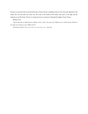because we are good; they're answered because of Jesus. He has a standing in heaven. He is the only approach to the Father. We can't get there any other way. We come to the Father in His Name. Jesus gave us the right and the authority to use His Name. The key to seeing answers to our prayers is through the mighty Name of Jesus.

Memory Text:

"And in that day ye shall ask me nothing. Verily, verily, I say unto you, Whatsoever ye shall ask the Father in *myname,he will give it you"* (John 16:23).

**THE LESSON IN ACTION:** *"Butbeyedoersof theword,andnothearersonly* **..." (James 1:22).**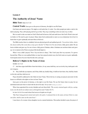# <span id="page-14-0"></span>**The AuthorityofJesus' Name**

#### **Bible Text:** Mark 16:17,18

**Central Truth:** Jesus gave us the power of attorney, the right to use His Name.

God hears and answers prayer. We might as well settle that. It works. Too often people just make a stab in the dark at praying. They call it praying and let it go at that. They *hope* something worksout some way orother.

But we need to take our stand on God's Word and let heaven, hell, and earth know that God's Word is true and we believe it. We need to grow in prayer. Many times God condescends to meet us on an elementary level, but it is better that wegrow spiritually and meet Him on His level.

The Bible teaches there is a similarity between physicalgrowth and spiritualgrowth. *"Asnewborn babes, desire the sincere milk of the word, that ye may grow thereby"* (1 Peter 2:2). No one is born a fully grown adult. We are born as babies and grow up. No one is born a fully grown Christian, either. Christians are newborn babes and grow up. As we mature in the Word, our prayer life should improve.

When I was a child I prayed, "Now I lay me down to sleep..." But I don't pray that way anymore. I've grown beyond that. When we were spiritual babes we may have prayed certain ways, but God wants us to grow spiritually. God requires more of us now than He did a few years ago.

## **Believer's Rights** in the Name of Jesus

#### MARK 16:17,18

17 And these signs shall follow them that believe; In my name shall they cast out devils; they shall speak with new tongues;

18 They shall take up serpents; and if they drink any deadly thing, it shallnot hurt them; they shall lay hands on the sick,and they shall recover.

Prayer should be addressed to the Father in Jesus' Name. This is the key to seeing our prayers answered. In this lesson we will look at the rights wehave in Jesus' Name.

Jesus gave us the power of attorney, or the right to use His Name. We use His Name when we pray for our individual needs and when we deal with the devil. He said, "In my name shall they cast out devils...."

When Jesus appointed the seventy disciples and sent them forth, *"The seventy returned again with joy, saying, Lord, even the devils are subject unto us through thy name" (Luke 10:17).* 

In Acts 16:16-18 we read where Paul cast an evil spirit out of a girl.

"But Paul, being grieved, turned and said to the spirit, I command thee in the name of Jesus Christ to come *out of her. And he cameout the samehour."*

I once knew of a women whose daughter was in a mental institution. This motherdecided to pray the prayerof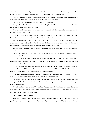faith for her daughter — exercising her authority in Jesus' Name and casting out the devil that kept her daughter bound.She asked 12 women who were strong in faith to go with her to the mental institution.

When they arrived at the padded cell where the daughter was being kept, the mother said to the attendant, "I want you to open the door and let me in, because I want to pray for my daughter."

"You can't do that," he answered. "She'll kill you. She's violently insane."

He argued he couldn't let her in because he would lose his job, but all the time he was unlocking the door. The mother stepped in and he locked the door again.

The insane daughter looked more like an animal than a human being. Her hair and nails had grown long, and she hissed and spat as an animal would.

While the 12 women outside prayed silently, the mother prayed out loud, commanding the devil to come out of her daughter in the Name of Jesus. She prayed like this for about 10 minutes.

Suddenly the daughter relaxed, looked up, and said, "Momma! Is that you, Momma?" She threw her arms around her and hugged and kissed her. That day she was dismissed from the institution as being well. This mother knew her rights. She knew the authority that was hers to cast out devils in Jesus' Name.

Jesusalso said in Mark 16:17,*"In myname... they shall speak with new tongues.*" Every believerhas the right to speak with tongues.

The next verse says that in Jesus' Name *"They shall take up serpents; and if they drink any deadly thing, it shall not hurt them."*

This doesn't mean, of course, we are to take up serpents and handle them just to try to prove something. It means that if we are accidentally bitten, as Paul was on the island of Melita, we can shake off the snake and claim immunity in the Name of Jesus.

We read in Acts 28:3-6 how Paul was shipwrecked. He picked up some sticks to build a fire and a viper came out and fastened on his hand. The people who saw this expected him to fall dead. When he didn't die and his hand didn't become swollen from the venom, the people knew they had witnessed a miracle.

I have heard of similar experiences in ourday. A woman missionary in a foreign country was stung by a deadly scorpion. There was no antidote for the bite in those days; its sting always was fatal.

The missionary was shopping on the street when the scorpion stung her, and people watching expected her to swellup and die. But she just shook it off in Jesus' Name and didn't even get sick to her stomach. Asa result, many of those people were saved.

The Scripture further says, "... *and if they drink any deadly thing, it shall not hurt them."* Again, this doesn't mean we can drink something poisonous to try to prove a point. It means if we do accidentally, we can claim immunity in the Name of the Lord Jesus Christ.

## **Using the Name of Jesus**

A number of years ago a religious denomination was holding a convention in Corpus Christi, Texas. After the people began to gather at the grounds where they were having the convention, some of them began to fall ill.Soon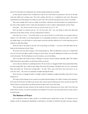about 20 or 30 people were desperately sick, and they began praying for one another.

As they prayed, someone had a revelation the water in one of the hotels was poisonous. This was in the days when they didn't have running water. They had a pitcher and bowl on a washstand in each room. This person cautioned the rest of the people not to drink any more water. The Lord answered prayer and everyone was healed.

They took a sample of the water to a nearby naval station. Laboratory tests showed there was enough poison in the water to killa regiment of men. Under such circumstances wehave a right to claim immunity in Jesus' Name.

Jesus said,"... *they shall layhandson the sick,and they shall recover"* (v.18).

Don't lay hands on someone and say, *"If it* be the Lord's will..." Lay your hands on them and claim their deliverance in the Name of Jesus. You have solid ground to stand on.

Jesus said, *"In my name.*..." It is in His Name we can cast out devils. It is in His Name we can speak with new tongues. It is in His Name we can claim immunity if we accidentally are bitten by a poisonous snake or if we drink any deadly thing. It is in His Name we can lay hands on the sick, and they shall recover. It is His Name that gives us authority to claim these things.

Notice He said *we* lay hands on the sick. We do the laying on of hands — not Jesus or the Holy Spirit. We lay hands on the sick person in Jesus' Name.

We are the ones who talk in tongues. I have heard people say, "But I'm afraid that was just me." Certainly that was you! You have the right to speak in tongues in Jesus' Name. You do the talking just as much as you lay hands on the sick person. The Holy Spirit gives you the utterance; you do the talking.

This is our right in the Name of Jesus. It belongs to everyone, not just someone especially called. The ordinary child of God has as much right to use the Name of Jesus as anyone.

Let me call your attention to something else here. We do not have to struggle for faith. Some people think if they just had enough faith, they could do these things. But notice this passage of Scripture does not say a word about faith. Jesus didn't say, "If they have enough faith...." He said, *"These signs shall follow them that believe; In my name they shall....*" He went on to enumerate our rights through His Name.

We do not have to struggle for faith. It is simply a matter of claiming our rights and boldly using what we know belongs to us.

The Name of Jesus belongs to me as much as my hands and feet belong to me. When I awaken in the morning, I don't pray for God to give me faith to get up and walk. I just get up and walk because I know my feet are there! The Name of Jesus is as much mine as my hands and feet are mine, and I can use His Name.

There are people who pray and pray, but the results do not prove their prayers are of any value. If you don't get results when you pray, you need to reexamine your methods. If you aren't *expecting* results when you pray, there is no need to pray.

## **The Business of Prayer**

Just as businesses expect to make a profit, so we should expect to profit when we pray. If a business was not making a profit, its management immediately would begin to reevaluate its methods and make necessary changes.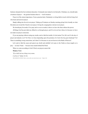Industry demands the best technical education. It demands men trained to do their jobs. Christians, too, should make a business of prayer — the greatest business there is — God's business.

Prayer is of the utmost importance. From a practical side, Christianity is a living faith in touch with the living God who hears and answers prayer.

Simply talking into the air is not prayer. Taking up 20 minutes on Sunday morning giving God a homily on what Hisdutiesare toward the Church isnot prayer. Giving the congregation a lecture isnot prayer.

We should pray for results. If we pray and we see no results, it shows we have the form without the power.

All things God has provided are offered to us through prayer, and if we do not have them, it is because we have not made our prayer connection.

If you are praying without seeing any results, seek to find the trouble. Is God untrue? No, He's not! Is the day of prayer and miracles over? No! Have we been depending upon the promises of a God who has gone bankrupt? No! There is something wrong somewhere, isn't there? Is it because we arenot known in the Bank of Heaven?

Let's seek to find the cause and uproot any doubt and unbelief. Let's pray to the Father as Jesus taught us to pray —in Jesus' Name—because Jesus standsbehind HisWord.

When we come according to God's Word, our prayers cannot fail.

#### **Memory Text:**

*"If ye shall askany thing in myname, I will do it"* (John 14:14). THE LESSON IN ACTION: *"Butbe ye doersof the word, and nothearersonly* ..." (James1:22).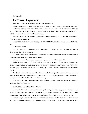# <span id="page-18-0"></span>**The Prayer of Agreement**

**Bible Texts:** Matthew 18:18-20; Deuteronomy 32:30; Romans 8:26

**Central Truth:** There is tremendous power as two or more agree in prayer concerning anything they may need.

Of the many prayer promises in the Bible, perhaps none is more significant than Matthew 18:19. Yet many dedicated Christians go through life having a knowledge of the Word — having read and even studied Matthew 18:19 —without really appropriating it in theirown lives.

God didn't put all of the promises about prayer in the Bible just to fill up space. They are there for our benefit. They are there for us to act upon.

To get the full impact of what Jesus is saying in Matthew 18:19, let's look at the verses preceding and following it.

#### MATTHEW18:18-20

18 Verily I say unto you, Whatsoever ye shall bind on earth shall be bound in heaven: and whatsoever ye shall loose on earth shall be loosed in heaven.

19 Again I say unto you, That if two of you shall agree on earth as touching any thing that they shall ask, it shall be done for them of my Father which is in heaven.

20 For where two or three aregathered together in my name, there am I in the midst of them.

Notice the phrase in verse 19: "...*it shall be done for them of my Father which is in heaven."* The strongest assertion one can make in the English language is to say "I shall."In thisScripture Jesuspromised,''... *it shall be done* for them of my Father which is in heaven. "He also said, "If ye shall ask any thing in my name, I will doit" (John 14:14).

P. C. Nelson was a Greek scholar who did all his personal Bible reading and private devotions from the Greek New Testament. He said the Greek translation is more beautiful than the English, but it has a numberof idioms that cannot be translated into English and retain their fullmeaning.

Dr. Nelson said the literal Greek rendering of Jesus' statement is, "If you shall ask anything in my name and I don't have it, I will make it for you."

# Authority To Bind and Loose

Matthew 18:20 says, "For where two or three are gathered together in my name, there am I in the midst of *them''* We usually apply this Scripture to a church service. Of course, it can refer to this, but what Jesus really was saying here is wherever these two people are who agree, He is right there with them to make their prayer good.

Jesus was bringing out the fact that whatever we bind on earth shall be bound in heaven, and whatever we loose on earth shall be loosed in heaven. Heaven will back us up in what we do on earth. We have the authority to loose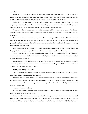and to bind.

Instead of using this authority, however, too many people allow the devil to blind them. They think they can't help it if they are defeated and depressed. They think there is nothing they can do about it. But they *can* do something about it by acting on this Scripture: by agreeing in prayer with just one other believer.

During 1957, our nation experienced an economic recession. Oregon was a state which felt the recession quite desperately. At that time I was holding a revival in Salem, Oregon. As I preached on the subject of the prayer of agreement, a couple in the church decided to claim this promise and make it work for them.

They owned a piece of property which they had been trying to sell for two years with no success. With times so difficult, it seemed impossible to sell it, yet the couple agreed in prayer that they would be able to sell it with the Lord's help.

When the man visited the real estate agent, he was told that since they hadn't been able to sell the lot when times were good, there was little hope they could sell it now. The agent did suggest that the man talk to a client who previously had been interested in the lot. The agent wasn't too optimistic,but he said if this client didn't buy the lot, he would try once more to sell it.

Remembering Jesus' promise concerning the prayer of agreement, the man approached the client, offering to sell the property at the same price they had discussed before. This time the client said he would take it.

For two years this couple had been in financial trouble, desperately needing to sell their lot. They could have had the money all the time if they had only exercised theirauthority by agreeing in prayer that *"it shall be done for them of my Father which is in heaven*."

Instead of believing with their hearts and saying with their mouths, the couple had been praying that God would do something about it. They now realized that *they* should have done something about it. (We have ourpart to play. When we make our move, God will then move.)

## **Multiplied Prayer Power**

DEUTERONOMY 32:30 30 How should one chase a thousand, and two put ten thousand to flight, except their Rock had sold them, and the Lord had shut them up?

We may be mighty in prayer alone, but we can be mightier with someone joining us. We read in the above verse that one can chase a thousand, but two can put ten thousand to flight. With someone agreeing with us in prayer, we can do ten times as much as we can do by ourselves. A lot of people don't need to be involved; just a husband and wife will do  $-$  just two.

I once read abook by Dr. George

W. Truett, who for many years was pastor of the First Baptist Church in Dallas, Texas. One chapter of his book deals with this subject of agreeing in prayer.

He told that when he was a young seminary student, he would go out during the summer and conduct revival meetings. Once when he was preaching under a brush arbor in West Texas, a tall rancher came up to him after the sermon one night and asked if he believed the New Testament. Dr. Truett answered that he did. Then the rancher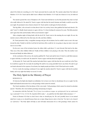asked if he believed everything in it. Dr. Truett answered that he surely did. The rancher asked him if he believed Matthew 18:19. Dr. Truett said he didn't know offhand what Matthew 18:19 said, but whatever it was, he believed it.

The rancher quoted this verse of Scripture to Dr. Truett and told him he was the first preacher they had ever had who really believed it. He asked Dr. Truett to agree with him that his ranch foreman and family would be saved the next night. He promised to have them in church. Dr. Truett said he would agree for their salvation.

This big fellow, who towered over him about 6 feet 6 in cowboy boots, then grabbed his hand and shook it. He said, "Lord, I've finally found someone to agree with me. I've been looking for someone for years. This little preacher and I agree that John and his family will be saved tomorrow night."

After a sleepless night of doing battle with the devil, Dr. Truett went to the meeting the next night. He saw the rancher come in, followed by the other man, his wife, and three children.

Dr. Truett preached a fiery, evangelistic message and gave the invitation, but he couldn't seem to move the man toward the altar.Finally he told the Lord that he had done allhe could do; he wasgoing to sing one more verse and turn it over to Him.

On the next verse of the invitation hymn, the oldest child, a girl about 13, went forward.She knelt at the altar. Then one of the other children followed. Finally all three children were praying at the altar. Then the mother went forward and finally the father followed.

At the conclusion of the service, the ranchergrabbed Dr. Truett and said he knew ifonly he could find someone to agree with him, it would work. He asked Dr. Truett to agree with him about hisneighbor.

At this point, Dr. Truett said if the rancher had asked him to agree with him that the sun would rise in the West, he would have agreed. He was ready for anything! He said he was young and didn't know any better. He said we get our heads educated at the expense of our hearts, but simple people just believe God's Word and receive results.

For two weeks the meetings continued. Every night the rancher asked Dr. Truett to agree with him for another family, and every night that family was saved. It works.

# The Holy Spirit in the Ministry of Prayer

#### ROMANS 8:26

26 Likewise theSpirit also helpeth our infirmities: for weknow not what we should pray foras weought: but the Spirit itself maketh intercession for us with groanings which cannot be uttered.

The Greek translation of the last phrase of thisverse reads, "with groanings which cannot be uttered in articulate speech." Therefore, this verse includes groanings and praying in tongues.

In connection with this,Paul said, *"For if I pray in an unknown tongue, my spiritprayeth, but my understand ing is unfruitful"* (1 Cor. 14:14). *The Amplified Bible* reads, "... my spirit [by the Holy Spirit within me] prays-----"

Notice in Romans 8:26 that we don't know what we should pray for. We can't possibly know in our natural mind how to pray as we should because there are so many things known only to God, but *"the Spirit also helpeth our infirmities."* The Holy Spirit will help us and will make intercession for us with groanings which cannot be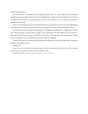uttered in articulate speech.

This doesn't mean it is something the Holy Spirit does apart from you. That would make the Holy Spirit responsible for your prayer life, and He isn't. You are responsible for your prayer life. Notice that this verse says that He *"helpeth.*" He isn't sent to do your praying for you. He is sent to help you in every aspect of your life, and especially your prayer life.

There are some things that come out of your heart that can't be expressed in words. It is the Holy Spirit helping you as these groanings come out of your spirit and escape your lips. It is the Holy Spirit in the ministry of prayer.

I do most of my praying in tongues. For example, my son might have problems I know nothing about. I tell the Lord I don't know how to pray for him as I ought to, but I am looking to the Holy Spirit to give me utterance. I might pray for him an hour in tongues. I might have a revelation, or God might show me the answer. But whether there is a revelation or not, we can pray that way because we know it is Biblical.

This kind of praying in the Spirit gets the job done when nothing else will. The Holy Spirit makes intercession through us to the throne of grace.

Memory Text:

"Again I say unto you, That if two of you shall agree on earth as touching any thing that they shall ask, it shall *bedone for them of my Father which is in heaven"* (Matt.18:19).

THE LESSON IN ACTION: *"Butbeyedoersof theword,andnothearersonly*..."(James1:22).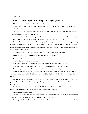# <span id="page-22-0"></span>**TheSixMost Important Things in Prayer (Part1)**

**Bible Texts:** John 16:23,24; Mark 11:24-26; Acts 27:25

**Central Truth:** "There is something about believing God that willcause Him to passovera million people to get to you."—Smith Wigglesworth

Many times I have asked people, as they got up from praying, what they believed. Often they have answered, "Well, I *hope* God heard me."I tell them Hedidn't.

In His Word He says, "If you *believe* you shall receive," not "If you *hope* you shall receive." He didn't say to "keep on keeping on" until you get the answer. He said when you pray you should believe you receive.

When you believe you receive, you don't have to pray all night long. You can go to bed and sleep peacefully, knowing God has heard you and will answer your prayer. It's the most wonderful thing in the world to be able to pillow your head on the promises of God and sleep like a baby. Everything around you might be in turmoil, but in the midst of it you can have peace.

This lesson deals with the six most important things the Christian should know about prayer.

## **Number 1: Pray to the Father inthe Name of Jesus**

JOHN 16:23,24

23 And in that day ye shallask menothing.

Verily, verily, I say unto you, Whatsoever ye shall ask the Father in my name, he will give it you.

24 Hitherto have ye asked nothing in my name: ask, and ye shall receive, that your joy may be full.

When Jesus spoke these words, He was here on earth. He was talking about the day in which we live.

He had not yet gone to Calvary. He had not died and been buried. He had not risen from the dead. The New Covenant was not in force. His blood had not been carried into the Holy of Holies. (His blood is the seal of the Covenant.)

Man had the promise of redemption, but had not received it. Eternal life had been promised, but had not been provided. None had the New Birth —they only had the promise of it,because the New Birth is available only under the New Covenant.

This New Covenant was prophesied about in the Old Covenant. Under the Old Covenant, men's hearts never were changed. That's the reason they kept on sinning. They couldn't help but sin.

Some of the greatest saints of the

Old Testament sinned. After they were forgiven for one sin, they would commit another. Their natures were all wrong; their hearts were all wrong. They only had a covering for their sins.

But God promised in His Word that He would take that old heart out of us and give us a new one. He said He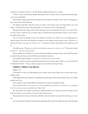would put a new spirit in us (Ezek.  $11:19$ ). This became available under the New Covenant.

In John 16:23,24, Jesus told His disciples that after He went to Calvary and was raised from the dead, people were to pray to His Father.

Prayer based on legal grounds should be addressed to the Father in the Name of Jesus. We are not supposed to pray to Jesus. This was His instruction.

The disciples asked Him, while He was here on earth, to teach them to pray. He taught them to say, "Our Father...." We refer to this as the Lord's Prayer (Matt. 6:9-13), but it is not New Testament prayer.

This prayerdidn't ask a thing in Jesus' Name; His Name wasn't even mentioned.*This prayer was prayed under the Old Covenant.* Under the New Covenant, which was sealed with the precious blood of Jesus, we are to pray to theFather in Jesus' Name.

Now let us focus our attention on the word "whatsoever" in John 16:23. Often we say we are believing for an answer to prayer "if it is God's will." But this verse makes no such condition. On the contrary, it says, "Whatsoever ye *shall ask the Father in my name, he will give it you.* "It must have been His will; otherwise, He wouldn't have said it!

Why did Jesus say, *"Whatsoever ye shall ask the Father in my name,he will give it you"?* The answer is found in verse24: "... *that your joy maybe full."*

Our joy certainly can't be full if we are out of work and our children are hungry. Our joy can't be full if our bodies are racked with pain. Our joy can't be full if there are problems in our home.

Jesus said theFather would giveus *"whatsoever"* we ask so our*"joy maybe full."*

But there isa secret to success with thiskind ofpraying. Thekey is in the words,*"Whatsoeverye shall ASK THE FATHER IN MY NAME....*" We are to address our prayers to the Father in the Name of Jesus.

## **Number 2: Believe You Receive**

MARK 11:24

24 Therefore I say unto you, What things soever ye desire, when ye pray, believe that ye receive them, and ye shall have them.

Smith Wigglesworth once said there is something about believing God that will cause Him to pass over a million people to get to you.

God is a faith God. We are faith children of a faith God. He works on the principle of faith.

We are saved by faith: "For by grace are ye saved through faith; and that not of yourselves: it is the gift of *God: Not of works, lest any man should boast"* (Eph.2:8,9).

We walk by faith, not by sight. It is the prayer of faith God listens to. He said you can have the desires of your heart if you believe you receive them. You have to believe first, however.

Most people want to receive and then they will believe. But it is the other way around: *The believing part comes first.*

I am convinced that if people would quit praying repeatedly about some of the things they pray about and begin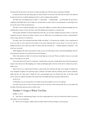*thanking* God for the answer, the answer would come right away. But they keep on praying in unbelief.

If a person asks for the same thing again, he doesn't believe he received it the first time he asked. If he believed he had received it, he would be thanking God for it, and it would be made manifest.

The faith Jesus was talking about in Mark 11 is heart faith — a spiritual faith — not head faith. We get used to walking by head faith. But we are to believe in our heart that we receive what we are praying for, even though we do not see the answer with our physical eyes.

This also is true of physical healing, but it seems more difficult to practice faith for physical healing than for anything else, because we have the body, with all its feelings and symptoms, to contend with.

Most people will believe God has healed them when they can see their condition has grown better, or when the symptoms are gone. Anyone can believe what he can see. What Jesus was teaching here is that we should believe when we pray and *then* we will receive.

For many years I have practiced this kind of faith, and Mark 11:24 has been my standby. I have experienced it in my own life as I have prayed for the desires of my heart, believing that I receive them. It is true not only for healing, but also in every other area of life. No matter what the need may be — material, spiritual, or financial — this is the way we receive.

Smith Wigglesworth said some people are ready to give up if their prayers aren't answered immediately. But, he said, this proves that they never believed God in the first place.

Often God permits our faith to be tried and tested right up to the end. When you believe God, you can stand firm, even though you are tested.

I have been there and I know by experience. I learned many years ago to laugh all the more when the going gets rough. I don't always *feel* like laughing, but I make myself laugh right in the face of the devil. I smile and say that I believe God.

When Paul was on a ship bound for Rome, a great storm arose. Because the ship was in danger of sinking, the crew attempted to lighten it by throwing cargo overboard. This didn't help the situation, and the storm continued, night and day, for "many days." Finally the crew and passengers gave up all hope that they or the ship would survive. However, right in the midst of the storm's fury, Paul addressed them, saying he believed God:

#### ACTS27:25

25 Wherefore, sirs, be of good cheer: for I believe God, that it shall be even as it was told me.

You and I may not have to face a storm-tossed sea, but we do have to face storms in life. We, too, can stand with the faith of Paul and announce that we believe God.

# Number 3: Forgive When You Pray

#### MARK 11:25,26

25 And when ye stand praying, forgive, if ye have ought against any: that your Father also which is in heaven may forgive you your trespasses.

26 But if ye do not forgive, neither will your Father which is in heaven forgive your tres passes.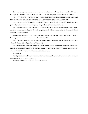Before we can expect an answer to our prayers, we must forgive any who may have wronged us. We cannot hold a grudge — we cannot keep an unforgiving spirit — if we want our prayers to reach God's throne of grace.

*Prayer will not work in an unforgiving heart.* No one can have an effective prayer life and have anything in his heart against another. You cannot have hatred in your heart. You cannot have revenge in your heart.

You are not responsible for that other person's life. You are responsible only for *your* life. What is in another person'sheart can't hinderyou,but what you have in yourheart against him can hinderyou.

We must watch our inward man with all diligence. We cannot afford to allow a root of bitterness, a bit of envy, or a spark of revenge to get in there. It will wreck our spiritual life. It will stallour prayer life. It will mar our faith and eventually it will shipwreck us.

A fellow once wanted me to pray that he never would have any more trouble with the devil. I told him I didn't know anyone who was free from trouble with the devil, least of all me.

We can't pray that we won't have any more trouble with the devil, but we can learn to take authority over him: *"Resist the devil, and he will flee from you"* (James 4:7).

God prepares a table before us in the presence of our enemies. Jesus is there right in the presence of the devil. Right in the presence of the enemies of doubt and despair, we can sit at the table of victory and deliverance with Jesus. In the face of adverse circumstances we can believe we receive.

Memory Text:

*"Praying always with all prayerand supplication in the Spirit,and watching thereunto with all perseverance and supplication forall saints"* (Eph.6:18).

THE LESSON IN ACTION: *"Butbe ye doersof the word, and nothearersonly* ..." (James1:22).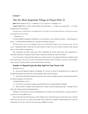# <span id="page-26-0"></span>The Six Most Important Things in Prayer (Part 2)

**Bible Texts:** Romans 8:26,27; 1 Corinthians 14:14,15; Jude 20; 1 Corinthians 14:4

**Central Truth:** When we allow the Holy Spirit to pray through us — to help us in our prayer life — we will see amazing answers to our prayers.

*Praying always with all prayer and supplication in the Spirit, and watching thereunto with all perseverance and supplication forall saints.*

— Ephesians 6:18

Dr. James Moffatt's translation of Ephesians 6:18, quoted above, says, "praying at all times ... with all manner of prayer. ..." Another modern translation says, "praying with all kinds of prayer."

The *King James Version,* even though it does not say "all kinds of prayer," says *"praying always with all prayer,"* inferring that there is more than one kind of prayer. If there were not, it merely would have said, "praying always,"and would have stopped there.

How desperately our nation needs prayer. How desperately the church needs prayer. How desperately we individuals need prayer. Nothing can take the place of prayer for meeting the needs of our family.

In our last lesson we discussed three points in our study of the six most important things the Christian should know about prayer. They were: (1) pray to the Father in the Name of Jesus; (2) believe you receive; and (3) forgive when you pray. This lesson will cover the last three points in this topic.

## **Number 4: Depend Uponthe HolySpirit in Your Prayer Life**

ROMANS8:26,27

26 Likewise theSpirit also helpeth our infirmities: for we know not what we should pray for as we ought: but the Spirit itself maketh intercession for us with groanings which cannot be uttered.

27 And he that searcheth the hearts knoweth what is the mind of the Spirit, because he maketh intercession for the saints according to the will of God.

1 CORINTHIANS14:14,15

14 For if I pray in an unknown tongue, my spirit prayeth,but my understanding isunfruitful.

15 What is it then? I willpray with the spirit, and I willpray with the understand ing also: I will sing with the spirit, and I will sing with the understanding also.

Christians everywhere pray with the understanding, but not allpray with the Spirit (pray in tongues). Many do not know it iseven possible to do so.

Some in their haste and their ignorance of the Scriptures have said that tongues have been done away with. But if that were true, how are we to "pray with the spirit" today? Surely the Corinthian Christians didn't have a means of praying that we can't have.Wehave the same meansavailable to us today.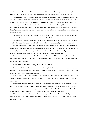Paul said that when he prayed in an unknown tongue, his spirit prayed. *When you pray in tongues, it is your spirit praying by the HolySpirit within you.* Likewise,yourgroaning is the HolySpirit within you groaning.

I sometimes have been so burdened in prayer that I didn't have adequate words to express my feelings. All I could do wasgroan from somewhere 'way down deep inside me.Paulsays thesegroanings that escape our lips come from our spirit — our innermost being. When this happens, it is the Spirit helping us pray, as we see in Romans 8:26.

According to the late P. C. Nelson, the literal Greek translation of Romans 8:26 says, "The Spirit Himself maketh intercession forus with groanings that cannot be uttered in articulate speech." Articulate speech means your regular kind of speech.Speaking with tongues is*not* your regularkind of speech, so thisverse includes speaking and praying with other tongues.

Paul said the Holy Spirit would help us in ourprayer life. Why? "...*for we know not what we should pray for as weought:but theSpirit itself maketh intercession forus...."* (Rom.8:26).

We do not always understand everything concerning what we are praying about, but the Holy Spirit does. When we allow Him to pray through us — to help us in our prayer life — we will see amazing answers to our prayers!

If I know specific details about what I'm praying for, I can believe when I pray, and I will receive them. However, sometimes there are things we know we need to pray about, but we do not know how to pray for them. The Holy Spirit knows, and He can help us. (It is easier to have faith for needs like rent and groceries because we know what we are praying for. But there are other situations in life that aren't so easy to pray for.)

There have been times in my own life when I have told the Lord I didn't know exactly how I should pray concerning my children. When I know there is a problem, I begin praying in tongues, and most of the time before I get through, I have the answer.

# Number 5: Pray the Prayer of Intercession

Thispoint ties in closely with Number4. Romans8:26 says, "... *the Spirit itself maketh intercession forus with groanings which cannot be uttered."* The prayerof intercession is not foryou. *An intercessor is one who takes the place of another.* You are interceding for another.

Every Spirit-filled believer can expect the Holy Spirit to help him intercede. This intercession can be for someone's salvation, healing, etc. It even includes praying for things or people we don't know about, but the Holy Spirit does.<sup>[1](#page-94-0)</sup>

After a time of praying in the Spirit we will know whether we were praying in tongues for ourselves — to build ourselvesup spiritually and worship God, which isdiscussed in thenext step —or we were interceding forothers.

On occasion — and sometimes over a period of time — I have had a burden of intercession before I even knew for whom I was praying. I can tell when I am in intercession or travail for someone who is lost.

(When you take the place of a lost person in intercession,you willexperience that same lost feeling in yourown spirit. As you pray in the Spirit, interceding for the person, the Holy Spirit will deal with his heart and bring him under conviction of sin.)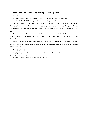## **Number 6: Edify Yourself by Praying in the Holy Spirit**

#### JUDE 20

20 But ye, beloved, building up yourselves on your most holy faith praying in the Holy Ghost.

1 CORINTHIANS14:4 4 He that speaketh in an unknown tongue edifieth himself\_

There is one phase of speaking with tongues in our prayer life that is neither praying for someone else nor interceding for anyone else. It is purely a means of personal spiritual edification. It aids us spiritually and edifies us. We all need this kind of praying. We cannot help others—we cannot edify others—unless we ourselves have been edified.

Praying in this manner has a threefold value. First, it is a means of spiritual edification. It affects us individually. Second, it is a means of praying for things about which we do not know. Third, the Holy Spirit helps us make intercession.

Speaking in tongues is not only an initial evidence of the Holy Spirit's indwelling; it is a continual experience for the rest ofone's life. It is to assist in the worship of God. It is a flowing stream that never should dry up. It willenrich your life spiritually.

# **Memory Text:**

*"Praying always with all prayerand supplication in the Spirit,and watching thereunto with all perseverance and supplication forall saints"* (Eph.6:18).

THE LESSON IN ACTION: *"Butbe ye doersof the word, and nothearersonly* ..." (James1:22).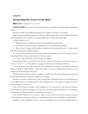# <span id="page-29-0"></span>**Interpreting Our Prayers in the Spirit**

**Bible Text:** 1 Corinthians 14:13-17,27,28

**Central Truth:** Every believer can interpret his prayers in the Spirit, thus gaining spiritual understanding of them.

Praying in the Spirit is not something that belongs only to ministers. It belongs to every believer.

Much has been accomplished through those who have yielded their prayer lives to the Holy Spirit, allowing Him to pray through them. But we would see even greater results if more Christians prayed in the Spirit.

#### 1 CORINTHIANS14:13-17

13 Wherefore let him that speaketh in an unknown tonguepray that he may interpret.

14 For if I pray in an unknown tongue, my spirit prayeth,but my understanding isunfruitful.

15 What is it then? I willpray with the spirit, and I willpray with the understand ing also: I will sing with the spirit, and I will sing with the understanding also.

16 Else when thou shalt bless with the spirit, how shall he that occupieth the room of the unlearned say Amen at thy giving of thanks, seeing he understandeth not what thou sayest?

17 For thou verily givest thanks well, but the other is not edified.

God, speaking through the Apostle Paul, said, *"Wherefore let him that speaketh in an unknown tongue pray that he may interpret"* (v. 13). God certainly is not going to tell us to pray for something we can't have.

I am convinced that every believer should be able to interpret his own prayers, even though he never may interpret a message in tongues publicly. I believe that a person can *interpret* without being an *interpreter.* (I will explain this point more fully later in this lesson.)

Would the Spirit of God tell us to pray for something we couldn't have? The fact that He has told us to pray that we may interpret means He has made this available to every believer.

Therefore, every believer should be able to pray in tongues (pray in the Spirit), because we are encouraged to do so in the Bible. Likewise, we should pray that we also can interpret what we have prayed in tongues, because the Word encourages us to do this, too.

Notice *why* God wants us to do this. In First Corinthians 14:13 we read that those who speak in an unknown tongue should pray that they may interpret. Two of the next verses begin with the conjunction "for." A conjunction is a connecting word. That means Paul was continuing what he had said.

Verse 14 reads, *"FOR if I pray in an unknown tongue, my spirit prayeth, but my understanding is unfruitful. "* If we could interpret our prayer in tongues, our understanding no longer would be unfruitful. It would be fruitful.

Sometimes it would be helpful forus to know what we are praying about when we pray in the Spirit. There are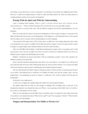some things we pray about that we need to understand. It would help us if our minds were enlightened about them. However, I would never interpret prayers in which we edify and build ourselves up. Those are merely prayers of worship and praise, and they do not need to be interpreted.

## **Praying With the Spirit and With the Understanding**

Verse 15 continues Paul's teaching: *"What is it then? I will pray with the spirit, and I will pray with the understanding also....*" There is a further meaning to this verse than the one we have generally accepted.

First, it means we can pray both ways: with the Spirit (in tongues) and with the understanding (in our own language).

But it *also* means that if we pray to be given the interpretation of what we pray in tongues, we may pray in the Spirit and afterwards God may give us the interpretation. If this happens, we willunderstand what we have prayed about in tongues, and we can pray with our understanding in our native language.

I have prayed in this manner since 1938. In those days, we didn't have any teaching along those lines. Some even thought that once a person was filled with the Spirit and spoke in tongues, it wasn't necessary for him to speak in tongues ever again! (Sadly, many Christians still do not rise above this level today.)

After I was first filled with the Spirit, I would find myself praying in tongues when I was praying, and I would stop, because I wasn't sure if it was right or not. However, about a year later as I studied the Word, I saw that it was all right to pray in tongues; that thisblessing is forus today.

Similarly, I interpreted my prayers long before I did any interpreting in public. I know from experience the difference it makes in one's prayer life.

Some of my first experiences along this line came when I was a new believer. I wasdeeply in love with the Lord and would seek Him and wait on Him. While praying about my services and the sermons I was to preach, the Spirit of the Lord would moveupon me and I would interpret what I had just prayed in tongues.

One day while praying in the Spirit, I began to interpret my prayer. I found out that I was praying about the girl I was to marry! I also learned that we would have two children, the older a boy and the younger a girl. I was not prophesying; I was interpreting my prayer in tongues. I would pray a few words in tongues and then pray the interpretation.

At that time I was a single man of

21 and I was so wrapped up in spiritual things that I didn't have time forgirlsand dating.

The farthest thing from my mind was the thought of marriage! But everything came to pass just as the interpretation indicated. I got married that same year. When we were expecting our first child, I knew it would be a boy. In fact, we only picked out a boy's name.

When we were expecting our second child, I knew it would be a girl, so we picked out only a girl's name. Some ofour relatives were skepticaland asked, "What if it isn't a girl?" I said, "I'm not going by 'what ifs.' "When the baby was born, it was a lovely daughter.

## **Tongues andInterpretation: For Public or Private Use?**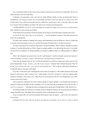As was mentioned earlier, the fact that one may interpret tongues does not mean he is an interpreter. The two are related, but they are not the same thing.

To illustrate, an automobile, a truck, and a bus are totally different vehicles, yet they are all motorized forms of transportation. Just because a person owns an automobile and drives it does not mean he is a trucker. Even if he owned a truck, that would not necessarily mean he could drive it. And because a man is a bus driverdoes not mean he is a trucker. They are different yet related. The same is true of tongues and interpretation.

1 CORINTHIANS 14:27,28 27 If any man speak in an unknown tongue, let it be by two, or at the most by three, and that by course; and let one interpret.

28 But if there be no interpreter, let him keep silence in the church; and let him speak to himself, and to God.

In verse 28 we read, *"But if there be no interpreter ...,"* or if no interpreter is present. This infers that there are those who are interpreters.

We make a great mistake by thinking that tongues and interpretation is just for public use. There is a public side to it under certain circumstances, but as we see from the passage of Scripture above, its main use is private.

As I said, I interpreted my own prayers long before I interpreted publicly. When I began to interpret my prayers in private, it was like driving that car. When I began to interpret publicly, it was like driving that truck: It was partly the same, but it was different. To interpret publicly, one stands in a different office, on a different plane, in a different area.

When I first interpreted my prayers, that was all I could interpret. I could not interpret anyone else's prayers. I could not interpret *a message in tongues.* Later,however, I received *thegift of interpretation.*

Notice that the Scripture does not say, "Let him that speaketh in an unknown tongue pray that he may have the gift of interpretation." It says, *"Let him ...pray that he may interpret."* Interpret what? Interpret hisprayer.Why?So he can *"pray with the spirit,and ...pray with the understanding also."* This would not make him an interpreter; it would make him one who prays in the Spirit.

Even after I received the gift of interpretation and became an interpreter, I still couldn't interpret what people prayed in their private times of prayer, but I could interpret all *public* utterances. (I still can interpret public utterances, although I don't always do it. Often there are several present who have the interpretation, and I allow someone else to give it forth.)

I have learned by experience that when someone speaks in tongues publicly, I can interpret their message in tongues if I respond to the Spirit. In First Corinthians 14:27,28, Paul infers that an interpreter can do this. He said, "// *there be no interpreter ...,"* inferring that some are interpreters, having the gift of interpretation, while others do not.

An interpreter might not be present in a meeting, and if no interpreter is present, the person giving the message in tongues should be silent. This implies that an interpreteralwayscould interpret the messages.

In my own prayer life, I do not always interpret all the prayers I pray in tongues—only as the Lord wills and as it is necessary.

In Romans 8:26 we read, *"Likewise the Spirit also helpeth our infirmities: for we know not what we should*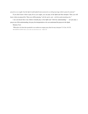*pray foras weought:but theSpirit itself maketh intercession forus with groan-ings which cannot beuttered."*

If you don't know what to pray for as you ought, you can pray in the Spirit and then interpret. Then you will know what you prayed for. Then you willbepraying *"with the spirit,and... with theunderstanding also."*

I am convinced that every believer should pray in the Spirit and "with the understanding" — not just pray a prayer out of his understanding, but pray the interpretation so he can understand his prayers in the Spirit.

Memory Text:

*"Wherefore let him that speaketh in an unknown tonguepray that he may interpret"* (1 Cor.14:13). THE LESSON IN ACTION: *"Butbe ye doersof the word, and nothearersonly* ..." (James1:22).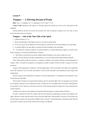# <span id="page-33-0"></span>**Tongues—A FlowingStream of Praise**

**Bible** Texts: 1 Corinthians 12:7-11; Ephesians 5:18,19; John 7:37-39

**Central Truth:** Speaking with tongues is a flowing stream that should never die out, but will enrich the life spiritually.

Having studied in the last two lessons the necessity and value of praying in tongues, let us now take a closer look at the kinds and uses of tongues.

## **Tongues —One of the Nine Gifts of theSpirit**

I CORINTHIANS12:7-11

7 But the manifestation of theSpirit isgiven to every man to profit withal.

8 For to one is given by the Spirit the word of wisdom; to another the word of knowledge by the same Spirit;

9 To another faith by the sameSpirit; to another thegiftsofhealing by the sameSpirit;

10 To another the working of miracles; to another prophecy; to another discerning of spirits; to another divers kinds of tongues; to another the interpretation of tongues:

11 But all these worketh that one and the selfsameSpirit,dividing to every man severally ashe will.

In these verses are listed the nine gifts, manifestations, or ways in which the Holy Spirit manifests Himself.

Three of these gifts are gifts of *inspiration*, or utterance: prophecy, divers kinds of tongues, and interpretation of tongues. These vocalgifts are designed as an inspiration in public worship. Of them, the gift of tongues is the most prominent.

Tongues with interpretation is distinctive with this dispensation. All the other gifts of the Spirit were manifested in the Old Testament. Even in the life and ministry of Jesus, all the other gifts were manifested except tongues and interpretation.

Because tongues and interpretation is distinctive with this dispensation, it is manifested more frequently in the Church than the other gifts.

"Divers kinds of tongues" are supernatural utterances given by the Holy Spirit. They are languages never learned by the speaker, and they are not understood by him. Usually they are not understood by the hearers, although there are exceptions to this. There have been times when the words someone speaks in tongueshave been understood by someone present.

A minister once told me of an experience he had had while preaching at a mission station in Mexico.

He said, "I preached for about five nights with the local missionary interpreting my sermons into Spanish. One night a Mexican woman came forward to receive the Holy Spirit after I had preached. The powerof God fellon her and she began to speak in the most perfect English I had ever heard. I could understand everything she said. She had never been to school a day in her life, and her native tongue was Spanish.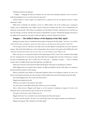"Hearing her speak in my language

— English — a language she had never learned, was one of the most beautiful experiences I have ever had. It really did something for me. I never have been the same since."

Another instance in which tongues was understood by a listener but not by the speaker involved a woman missionary to India.

While home on furlough, she attended a service at a Bible institute. One of the students gave a message in tongues, but no interpretation came. While everyone waited and wondered why there was no interpretation, the missionary stood and said, "That student was speaking one of the dialects of India. I understood every word that was said. The message was for me, and that is the reason no interpretation was given. Through this message God spoke to me, telling me He wanted me to go back to India and telling me what He wanted me to do there."

## **Tongues —The Initial Evidence of the Baptism of the HolySpirit**

Speaking in tongues always is manifested when people are baptized in the Holy Spirit: *"And they were all filled with* the Holy Ghost, and began to speak with other tongues, as the Spirit gave them utterance" (Acts 2:4).

I do not argue, however, with those who claim to have the Holy Spirit even though they neverhave spoken in tongues. After all, the Holy Spirit does a work of regeneration when a person is born again, and the Bible tells us that *"TheSpirit itself beareth witness with our spirit, that weare the children of God"* (Rom.8:16).

Many years ago, as a young pastor hungry for the deeper things of God, I came to the conclusion while reading the New Testament that if I received the same Holy Spirit that the disciples did on the Day of Pentecost, I wanted the same accompanying sign. And if I didn't have the same sign — speaking in tongues — I had no scriptural evidence that I was filled with the same Holy Spirit they were filled with.

Thank God, I did receive that same Holy Spirit and did speak with tongues as the Spirit gave utterance.

Smith Wigglesworth once argued that he already was filled and baptized with the Holy Spirit, even though at that time he had not spoken in other tongues.

When he heard that some people in an Episcopal (Anglican) church were speaking in tongues, he went to see about it. He found that the pastor, his wife, and many of their members had received the baptism in the Holy Spirit.

They asked Wigglesworth,"Do you have the Holy Ghost?"

Wigglesworth replied that hedid.

"Well, have you spoken with tongues?" they asked.

"No, but I'm just as much filled with the Holy Ghost as you are!" he replied.

After a while, however, Wiggles-worth began to see the necessity of speaking in tongues. He went to the Episcopal rectory to ask the pastor to pray for him, but he wasn't home.

The pastor's wife, however, said, "I'll pray for you."

Wigglesworth said, "Lay your hands on my head and pray that I'll get the tongues."

"You don't want the tongues," she said. "You want the Holy Ghost. The tongues will take care of themselves."

Wigglesworth argued, "But I already have the Holy Spirit!"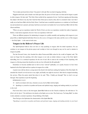"Never mind, just kneel down there," the pastor's wife said. She was tired of arguing with him.

Wigglesworth knelt, and as hands were laid upon him, the power of God came over him and he began to speak in other tongues. He later said, "The Holy Ghost settled all my arguments for me. I had been arguing and discussing the subject with them every day that I had the Holy Ghost just as much as they did. In a moment's time I saw that I really never had been filled with the Holy Ghost. I had had some wonderful experiences as a minister as God blessed me and anointed me to preach, and many had been saved and even healed,but I neverhad been filled with the Holy Ghost until then.

"When you get an experience inside the Word of God, you have an experience outside the realm of argument. Before, I only had an argument, but now I have an experience with God."

There are different purposes for ministering in tongues in a public assembly and speaking with tongues in your prayer life asaSpirit-baptized individual. However, the *essence*of tongues is the same,and the *source* of the tongues — the Holy Spirit — is the same in both cases.

## **Tongues inthe Believer's Prayer Life**

The Spirit-baptized believer does not have to stop speaking in tongues after his initial experience. He can continue to use tongues in his private prayer and worship to God even though he may not be used to minister in tongues in public.

The late Howard Carter, who founded the oldest Pentecostal Bible school in the world in England, said, "We must not forget that the speaking with other tongues is not only an initial evidence or sign of the Holy Spirit's indwelling, but it is a continual experience for the rest of one's life to assist in the worship of God. Speaking with tongues is a flowing stream that should never die out, but will enrich the life spiritually."

Sometimes we become satisfied and we feel we have "arrived" spiritually, so to speak, because we have been baptized in the Holy Spirit and have spoken in tongues for a while.

A pastor once told me about a young man in his church who had been seeking the baptism of the Holy Spirit. He attended the church's revival services every night, and finally one night he received. After that he stopped attending the services. When the pastor asked him about it, he said, "Why, I finally got through!" But we don't ever get through. That experience is just the beginning.

#### EPHESIANS 5:18,19

18 And be not drunk with wine, wherein is excess; but be filled with the Spirit;

19 Speaking to yourselves in psalms and hymns and spiritual songs, singing and making melody in yourheart to the Lord.

Paul wrote these verses to the born-again, Spirit-filled believers in the Church at Ephesus. He told them to *"be filled with the Spirit."* He told them to be drunk on the Spirit, not on wine. The Greek says, "be being filled"; in other words, maintain a constant experience. Keep drinking of the Spirit.

Then Paul gave the Ephesians the characteristic of the Spirit-filled life:

*"Speaking to yourselves in psalms and hymns and spiritual songs, singing and making melody in your heart*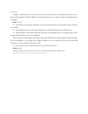*to theLord.*"

A psalm is a spiritualpoem or an ode. It may or may not rhyme, but there is an element of poetry about it. It is given by the inspiration of the Holy Spirit on the spur of the moment. It can come by tongues and interpretation or by prophecy.

#### **JOHN** 7:37-39

37 In the last day, that great day of the feast, Jesus stood and cried, saying, Ifany man thirst, let him comeunto me,and drink.

38 He that believeth on me,as the scrip turehath said,out ofhisbelly shall flow riversof living water.

39 (But this spake he of theSpirit, which they that believe on him should receive: for the Holy Ghost was not yet given; because that Jesus wasnot yet glorified.)

Water is a type of the Holy Spirit. Jesus stood at the last day of the feast and told the people to drink of the Spirit. He was encouraging us to stay filled with the Spirit. By doing so, we can overcome the devil and the sins of this world, and we can live a life that is pleasing to Christ.

"... *walk in theSpirit,and ye shall not fulfil the lust of the flesh"* (Gal.5:16).

#### **Memory Text:**

*"And benot drunk with wine, wherein isexcess;but be filled with theSpirit"* (Eph.5:18). THE LESSON IN ACTION: *"Butbe ye doersof the word, and nothearersonly* ..." (James1:22).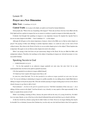## **Prayer on a New Dimension**

#### **Bible Text:** 1 Corinthians 14:2,4,18

**Central Truth:** As we pray in the Spirit, our spirit is not bound by human limitations.

Some people ask, "What is the use of speaking with tongues?" There also are those who have been filled with the HolySpirit and have spoken in tonguesbut seeno reason to continue to speak in tongues in theirdaily prayer life.

Evidently God thought that speaking in tongues is very important, because He inspired the Apostle Paul to devote an entire chapter in the Bible — First Corinthians 14 — to this subject.

Although all will agree on the utmost importance of prayer, where in the Bible can we find an entire chapter on prayer? The paying of tithes and offerings is another important subject; we could not carry on the work of God without money. But where in the Word of God do we see an entire chapter given to the subject? Water baptism also is important. But again we do not find an entire chapter devoted to the subject.

What I am saying is that God does not put unnecessary things in His Word. He has not filled the Bible with unimportant subjects. Therefore, the teachings on the subject of speaking in tongues are vital and necessary to every successful Christian.

# Speaking Secrets to God

#### 1 CORINTHIANS14:2,4,18

2 For he that speaketh in an unknown tongue speaketh not unto men, but unto God: for no man understandeth him; howbeit in the spirit he speaketh mysteries.

4 He that speaketh in an unknown tongue edifieth himself\_

18 I thank my God, I speak with tongues more than ye all.

In verse two, when Paul said, *"For he that speaketh in an unknown tongue speaketh not unto men, but unto God,"* he was not referring to ministering in tongues in a public assembly; he was talking about a Spirit-filled believer talking in tongues in his private prayer life. (This also includes praying in tongues during prayer services at the altar in church,because wego there to talk to God.)

Paulcontinued,"...*howbeit in the spirit he speaketh mysteries.*"Mof-fatt's translation of thisverse says, "...he is talking of divine secrets in the Spirit." God has divised a way whereby we may speak to Him super-naturally! In the Spirit, we speak divine secrets to God!

While I was holding a meeting in Mesa, Arizona, the pastor told me the story of a young Jewish boy. He didn't have too many friends, so one of the boys in the church befriended him and invited him to go to church with him.

At first the Jewish boy refused, saying that he didn't believe in Christ. However, he began thinking that maybe he shouldn't be so obstinate, because this Christian boy was the only one who had been kind to him. So he agreed to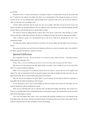go with him.

During the service, a woman stood and gave a message in tongues. No interpretation wasgiven. The pastor told me, "I waited for a few minutes, but finally when there was no interpretation to the message in tongues, we went on with the service. As I was shaking hands with the people at the conclusion of the service, the Jewish boy asked me, 'Who was that lady who was talking to me?'

"At first I didn't understand what he meant. He went on to explain, 'That lady who got up in the service and talked to me spoke my language [Hebrew] and even called my name. She told me what I had been thinking. She told me that Christ was the Messiah and that I should believe on Him.'

"He seemed to resent her talking directly to him in front of the crowd. I said to him, 'That dear lady is a widow who has only about a fifth grade education. She takes in washings for a living. She speaks no language but English.'

"Then I called the woman over and introduced her to him so he could see for himself that she was a very uneducated woman.

"The following Sunday night the Jewish boy was back in our services again, and that night he gave his heart to Christ."

This young Jewish boy received Christ as his Messiah and Savior as a result of a humble widow who yielded to the Spirit's operation through her to speak to a lost boy.

## Spiritual Edification

First Corinthians 14:4 says, *"He that speaketh in an unknown tongue edifieth himself....''* This means that he builds himself up spiritually. Jude

20 says,*"But ye,beloved,building up yourselveson your most holy faith,praying in the Holy Ghost.*"

This does not say that praying in the Holy Spirit willgive you faith; it says it builds you up "on your most holy faith." It is a means of spiritual edification.

While I was a young pastor of a community church out in the country, I stayed with one of the couples in the church. The wife was desperately ill with an ulcerated stomach and could eat nothing but baby food and a few raw eggs mixed in milk.She even had troublekeeping that on her stomach.

Then she received the baptism of the Holy Spirit. I was not present, but she told me about her experience of being filled with the Spirit and speaking in other tongues.

No one laid hands on her to pray for her healing, but from the moment she received the Holy Spirit, she was instantly healed and could eat anything she wanted.

Surely no one could find fault with an experience that can bring both healing and blessing. This woman was a believer, a wonderful child of God, a dedicated Christian. By praying in tongues, she built herself up on her most holy faith, and her faith began to operate.

I have seen this happen many times. I have seen people with incurable conditions receive the baptism of the Holy Spirit, speak with tongues, and become healed instantly. We had prayed for some of these same people with the laying on of hands before, but they had failed to receive their healing.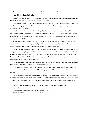We know that speaking with tongues is a real spiritual boost to a person. It edifies him—it builds him up.

### **New Dimensions in Praise**

Speaking with tongues is a way we can magnify God. We read in Acts 10:46 concerning Cornelius and his household,*"For theyheard them speak with tongues,and magnify God...."*

I ministered for several years before receiving the baptism of the Holy Spirit. During those years, I had some wonderful times in prayer, but often I went away from my place of prayer disappointed, even though I was blessed. I felt as if *something were missing.*

I would try to tell God how much I loved Him, using all the descriptive adjectives at my disposal. But I would exhaust my vocabulary. In my spirit I felt I had not said what I wanted to say. This wasbecause my spirit wanted to pray apart from my understanding: "For *if Ipray in an unknown tongue, my spirit prayeth,but my understanding is unfruitful"* (1 Cor.14:14).

All this changed after I received the Holy Spirit and prayed in tongues. I can now communicate with God on a new dimension. My spirit is no longer bound by earthly vocabularies; it can soar beyond the limitations of human speech.My spirit isenabled by the indwelling HolySpirit to say what it wants to say.

I cannot begin to estimate the worth of praying in the Spirit in my life. For many years, I traveled on the evangelistic field, having to spend much time away from my family. Again and again the Holy Spirit alerted me to needs in my family. I would be awakened in the night by the Spirit's urging me to pray concerning a problem that had arisen at home. I immediately would go to prayer, saying, "I don't know what is wrong — I don't know the source of the trouble — but You know everything."

I would ask the Holy Spirit within me, who is my Helper, to help me pray about this situation, whatever it might be, in the way it should be prayed for. Then I began praying in tongues.

I have prayed as much as six hours in tongues. Often the Lord let me know what I waspraying about and what the answer to it was. Whether or not He did, I knew my praying was right, and in a few days I would see how it worked out.

Praying in the Spirit has been such a blessing to my life that I want to encourage Christians everywhere to make it a part of their prayer life, too. I want you to know the joy of fellowshipping with the Lord in the Holy Spirit. I want you to allow theSpirit to help you with yourpraying. I want to inviteyou to comeon in and communicate with God supernaturally.

God wants to**do** so **muchmore for**you. He wants to communicate **with**you in abetter way.

#### **Memory Text:**

*"For if Ipray in an unknown tongue, my spiritprayeth* ..."(1 Cor.14:14). THE LESSON IN ACTION: *"Butbe ye doersof the word, and nothearersonly* ..." (James1:22).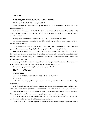## **The Prayersof Petitionand Consecration**

**Bible Texts:** Matthew 21:22; Mark 11:24; Luke 22:42

**Central Truth:** God is concerned about everything that touches us, and He has made a provision to meet our needs through prayer.

In the *King James Version,* Ephe-sians 6:18 reads, *"Praying always with all prayer and supplication in the Spirit..."* Moffatt's translation reads, "Praying.... with all manner of prayer." Yet another translation says, "Praying with all kinds of prayer...."

In today's lesson we will look at some of the different kinds of prayer in the New Testatment.

Just as numerous games are classified as "sports," different kinds of prayer often are lumped together under the general category of "prayer."

We need to realize that just as different rules govern each game, different principles, rules, or spiritual laws also govern different kinds of prayer. In sports, the rules that apply to baseball do not apply to football.

A visitor from Europe was taken by his host to see an American baseball game in New York City. He didn't know much about the game, because it is not played in his country, and he had to ask a number of questions because he didn't understand the terminology. He was accustomed to sports that were quite different and he knew the same rules didn't apply in all cases.

Likewise, spiritually, the principles that apply to one kind of prayer may not apply to another, and you can become terribly confused if you try to apply the wrong rule to a certain kind of prayer.

The first kind of prayer we will study in this lesson is the prayer of petition.

### **The Prayer of Petition**

MATTHEW21:22

22 And all things, whatsoever ye shall ask in prayer, believing, ye shall receive.

MARK 11:24

24 Therefore I say unto you, What things soever ye desire, when ye pray, believe that ye receive them, and ye shall have them.

By far the most frequent prayer of Christians is the prayer of petition. We always are petitioning or asking God to do something forus. This is scriptural,ofcourse,because He told us in Matthew 21:22,"...*ask in prayer,believing."*

The prayer of petition must be a prayer of faith. It primarily concerns an individual's desires, needs, and problems. It is you praying for yourself, not someone else praying for you or agreeing with you in prayer.

When you pray the prayer of petition, believe that you receive. If you will do that, you will have what you ask for. God is concerned about our needs and He wants to meet them for us.

Notice that in the Old Testament, God promised His people more than spiritual blessings; He promised them that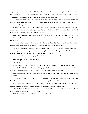they would prosper financially and materially. He told them He would take sickness away from their midst, and He would give them long life: "... *the number of thy days I will fulfil"* (Exod. 23:26). God also told them that if they would keep His commandments, they would eat the good of the land (Isa. 1:19).

God is just as interested in His people today as He was then. He is concerned about everything that touches our lives. He promised us in Third John 2, *"Beloved, I wish above all things that thou mayest prosperand be in health, even as thy soul prospereth.*"

Jesus said, "If ye then, being evil, know how to give good gifts unto your children, how much more shall your *Father which is in heaven givegood things to them that askhim?"* (Matt.7:11).We must realize that it is God's will that our needs — spiritual, physical, and material — be met.

Some people think they should conclude every prayer with the words "If it be thy will." They claim this is the way Jesus prayed. However, Jesus prayed this way on only *one* occasion, when He was praying in the Garden of Gethsemane.

By contrast, when He stood at Lazarus' tomb, He didn't say, "If it be thy will." Instead, He said, "I thank You because You hear me always"(John 11:41-43). Then He *commanded* Lazarus to come forth.

The prayer to raise Lazarus was a prayer to change something. Anytime we pray to change something, we do not need to put an "if" in ourprayer. If we do, we are using the wrong rule, and the prayer won't work. Instead, we need to claim God's promise for our petition and *believe* that we receive it.

Jesus' prayer in Gethsemane — the prayer in which He put an "if — was a prayer of consecration.

## The Prayer of Consecration

#### LUKE 22:42

42 Saying, Father, if thou be willing, remove this cup from me: nevertheless not my will, but thine, be done.

In the Garden of Gethsemane Christ prayed the prayer of submission, consecration, and dedication: "... *if thou be willing... nevertheless not my will...*" He wanted to do what the Father wanted Him to do.

It was not a prayer of petition. It was not a prayer to get something or to change something. It was a prayer of consecration.

When we consecrate our lives for God's use, to go anywhere and do anything He wants us to do, we pray this kind of prayer. In a prayer of consecration and dedication we pray, "If it be thy will."

When it comes to changing things or getting something from God, however, we do not pray, "If it be thy will," because we already have God's Word concerning it. We *know* it is His will that our needs be met.

**Memory** *"Praying always with all prayer and supplication in the Spirit, and watching thereunto with all perseveranceand supplication forall saints"* (Eph.6:18).

**THE LESSON IN ACTION:** *-Butbeyedoersof theword,andnothearersonly* **..." (James 1:22).**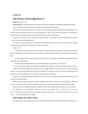# **The Prayer of Worship (Part 1)**

#### **Bible Text:** Acts13:1-4

**Central Truth:** As yielded hearts pour out praises to God, the Holy Spirit will manifest Himself in their midst. As we noted in the last lesson, most of our prayers are the petition type of prayer.

Too many of us are like the little boy who prayed, "Lord, my name is Jimmy, and I'll take all You'll gimme!" This seems to be the only kind of prayer we know anything about. And if it is the only type of prayer we are praying, I wonder if the Lord sometimes doesn't get a bit tired of hearing just "give me" prayers.

We need to take time to wait on God and to minister to Him — time when we are not asking Him for anything —time when we arenot petitioning Him.

Not only do we need to minister to the Lord in our individual prayer lives, but we also need to do it as a group. We read of a group in the New Testament who held such a service:

#### ACTS13:1-4

1 Now there were in the church that was at Antioch certain prophets and teachers; as Barnabas, and Simeon that was called Niger, and Lucius of Cyrene, and Manaen, which had been brought up with Herod the tetrarch, and Saul.

2 As they ministered to the Lord, and fasted, the Holy Ghost said, Separate me Barnabas and Saul for the work whereunto I have called them.

3 And when they had fasted and prayed, and laid their hands on them, they sent them away.

4 So they, being sent forth by the Holy Ghost, departed unto Seleucia; and from thence they sailed to Cyprus.

Today when Christians gather for a church service, we usually minister to one another. Our services are designed that way.Few ofour songs minister to the Lord; we minister to one another in song. Even when we sing specialsolo numbers, we are not ministering to the Lord; we are ministering to one another.

Our prayers are primarily petitions. We petition the Lord to move in our midst, to manifest Himself among us, and to meet our individual needs.

When the minister stands to speak, he doesn't minister to the Lord; he ministers to the congregation. When the service is over, if we do have a time of waiting on God in prayer, this usually consists of petitioning prayer again.

Thus, we don't go to church necessarily to minister to the Lord, but to pray and seek God on our own behalf.

The Christians we just read about in Acts 13, however, came together and "... *ministered to the Lord, and fasted."* More than one person was involved in this account,because it says, *"AsTHEY ministered to theLord,and fasted....*" This is the true prayer of worship.

### **God's Desire for Man's Praise**

God made man so He would have someone to have fellowship with. He made man for His own pleasure. It is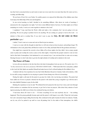true that God is concerned about us and wants to meet our every need, but even more than that, He wants our love, worship, and fellowship.

We are born of God. He is our Father. No earthly parent ever enjoyed the fellowship of his children more than God enjoys the fellowship of His sons and daughters.

In one revival meeting we held I decided to do something different. After about six weeks of meetings, I announced to the congregation one night, "Let's have some different kinds of services.For three nights out of these remaining two weeks, I want us to come together to minister to the Lord."

I explained, "I may read from the Word a little and make a few comments, but I am not going to do any preaching. We are not going to petition God to do anything. We are coming as a group to wait on the Lord — to minister to Him and to worship Him. If you don't want to pray this **way, do not come on these**

### **particular** nights."

I added,"I don't want us to come and wait on Him for just ten minutes.

I want us to come with the thought in mind that we will wait at least an hour in prayer, and perhaps longer. We will minister to the Lord, praise Him, tell Him how much we love Him, and thank Him for His goodness and mercy."

One might have expected the crowds to have fallen off on those nights, but they didn't. Just as many people came to praise and worship the Lord as came on the other nights. I found that the people wanted to wait on God. And in that kind of atmosphere, God ministered to us in unusual ways. I am convinced that we miss out on many blessings because we don't take time to get into the right attitude of worship and to minister to the Lord.

#### **The Power of Praise**

Let me call your attention to the fact that this is the kind of atmosphere God can move in. We read in Acts 13:2, *"As they ministered to theLord,and fasted,THE HOLY GHOSTSAID.*..."With hearts fullof love and praise,yielded to the Lord, the Holy Spirit can manifest Himself and make known God's will and leading for His children's lives.

A minister told me of an experience he once had which illustrates this power of praise. Early in his ministry, while he was still a young evangelist, he was staying at a pastor's home during one of his revival meetings.

During the night a call came for the pastor to go pray for a baby who was having convulsions. The pastor had been called out of town to preach a funeral, but the pastor's wife asked this young evangelist to go with her and a few other faithful Christians to pray for the child.

Relating the experience to me, he said, "We rebuked the devil, prayed at the top of our voices, and went through all the motions we sometimes feel are necessary to get God to hear our prayers. After about forty minutes of such rigorous praying, the child was no better, but continued having convulsions.

"I had done about all I knew to do — I'd done everything I'd ever seen anybody else do — but nothing happened. Then the group gradually became quiet and the pastor's wife began to say softly, 'Praise the Lord, praise the Lord,' and praises began rolling from her lips. She continued in this spirit of praise for about ten minutes. Finally, one by one, all of us picked it up until we were all praising God. In the midst of that atmosphere, the child's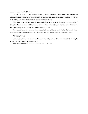convulsions ceased and he fell asleep.

"We stood around rejoicing, but while we were talking, the child awakened and went back into convulsions. We became alarmed and started to pray and rebuke the devil. We anointed the child with oil and laid hands on him. We went through all the usual maneuvers again, but nothing seemed to help.

"Then when we settled down again, the pastor's wife began to praise the Lord, ministering to the Lord, and telling Him how much she loved Him. We all joined in, and soon the child's convulsions stopped and he went to sleep, permanently healed. That night I witnessed the power of praise."

This was an instance when the prayer of worship worked when nothing else would. As these believers, like those in the Early Church, "ministered to the Lord," the Holy Spirit moved and manifested the mighty power of God.

### **Memory Text:**

*"And they worshipped him, and returned to Jerusalem with great joy: And were continually in the temple, praising and blessing God."* (Luke24:52,53).

**THE LESSON IN ACTION:** *''Butbeyedoersof theword,andnothearersonly* **..." (James 1:22).**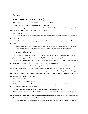## **The Prayer of Worship (Part 2)**

**Bible** Texts: Acts 16:22-25; 2 Chronicles 20:15,17-19,21,22; Luke 24:50-53

**Central Truth:**Praise wasa characteristicof the Early Church.

In the sixteenth chapter of Acts we have the story of Paul and Silas in Philippi. We read of their arrest, how they were beaten with many stripes, and how they were cast into prison.

ACTS16:22-25

22 And the multitude rose up together against them: and the magistrates rent off their clothes, and commanded them to beat them.

23 And when they had laid many stripes upon them, they cast them into prison, charging the jailer to keep them safely:

24 Who,having received such a charge, thrust them into the innerprison,and made their feet fast in the stocks.

25 And at midnight Paul and Silas prayed, and sang praises unto God: and the prisoners heard them.

## A Songat Midnight

I want to call special attention to verse 25: "... *Paul and Silas prayed,and sang praises unto God....* "What did they have to be so happy about that they felt like singing?Surely nothing wasgoing right for them.

They had been preaching the Good Newsof the Gospeland what did they get for it? They were brought before the rulers, charged and beaten, and then cast into prison with their feet placed in stocks.

Their backs were sore and bleeding. Every part of their bodies ached. But did they sit there moaning and complaining,crying,"Why did thishave to happen to me?" No. The Bible says they *"sang praisesunto God."*

If they had been like some of us today, the Scripture might have read, "And at midnight Paul and Silas griped and complained, whined and whimpered, wondering why God had allowed this to come upon them." Their conversation might have followed this line:

"Paul, you still there?"

"Sure, I'm still here. Where else could I be?"

"I tellyou, my poor back is really hurting me. I just don't understand why God ever sent this on us. He knows that I've tried to serve Him and have done my best."

That kind of attitude would have just gotten them further into trouble instead of out of it!

We can learn something here from Paul and Silas. After all, they were in trouble. They were in pain. They were in

jail. All in all, it was a bleak situation. One could hardly blame them for being discouraged. However, as someone has said, Paul and Silas got in jail, but they didn't let the jail get in them.

This is the reason many people are defeated. Trouble comes to everyone, but our attitude toward it is what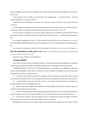makes the difference between victory and defeat. How we look at the situation makes the difference in whether we get out at all.

In the example of Paul and Silas we can find help for our midnight hour — our time of testing — when the storms of life threaten to sweep us overboard.

Pauland Silas weren't in Philippion a vacation. They were there to do the Lord's work. They weren't out of the will of God.

The first thing that some people think when adversity strikes is that they surely must be out of the Lord's willor such a thing wouldn't have happened. But Paul and Silas were *right in the middle* of God's will.

If we were meant to measure if we are in God's will by whether or not everything runs smoothly, with no hard places and no sacrifices, thenPaulnevergot in the willof God in his entire ministry —he missed it from beginning to end!

Let usnotice something else in verse 25: *"And at midnight Paul and Silasprayed,and sang praisesunto God: AND THE PRISONERS HEARD THEM*." They weren't quiet about it. They were praising God out loud right there in jail.

Not only did the prisoners hear them, but God heard them! *"And suddenly there was a great earthquake, so*

*that the foundations of the prison were shaken: and immediately all the doors were opened, and everyone'sbands were loosed"* (v.26).

Deliverance came while they were praising God.

#### **A Song in Battle**

Let us look at an Old Testament counterpart to this story. During the reign of King Jehoshaphat, the Ammonites and Moabites came against the Israelites. Jehoshaphat cried out to the Lord in prayer and He answered him.

2 CHRONICLES 20:15,17-19,21,22 15 And he said, Hearken ye, all Judah, and ye inhabitants of Jerusalem, and thou king Jehoshaphat, Thus saith the Lord unto you, Be not afraid nor dismayed by reason of this great multitude; for the battle is not yours, but God's....

17 Ye shallnot need to fight in this battle: set yourselves, stand ye still, and see the salvation of the Lord with you, 0 Judah and Jerusalem: fearnot, nor be dismayed; tomorrow go out against them: for the Lord will be with you.

18 And Jehoshaphat bowed his head with his face to the ground: and all Judah and the inhabitants of Jerusalem fell before the Lord, worshipping the Lord.

19 And the Levites, of the children of the Kohathites, and of the children of the Korhites, stood up to praise the Lord God of Israel with a loud voice on high

21 And when he had consulted with the people, he appointed singers unto the Lord, and that should praise the beauty of holiness, as they went out before the army, and to say, Praise the Lord; for his mercy endureth for ever.

22 And when they began to sing and to praise, the Lord set ambushments against the children of Ammon, Moab, and mount Seir, which were come against Judah; and they were smitten.

Jehoshaphat knew his army was no match for those of the countries banded against him, but he knew his God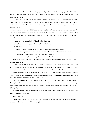*was* more than a match for them. He called a prayer meeting and the people fasted and prayed. The Spirit of God moved upon a young man in the congregation and he stood and prophesied. The Lord told them not to fear, for the battle was the Lord's.

The next morning when they went out against the enemy's powerful armies, they did not go against them with swords and spears but with songs of praise (v. 21). They marched and chanted, *"Praise the Lord; for his mercy endureth for ever.*" In their hour of trial, instead of cowering in fear, the children of Israel sang praises to God just as Paul and Silas did in jail.

And what was the outcome of this battle? Look at verse 22: *"And when they began to sing and to praise, the Lord set ambushments against the children of Ammon, Moab, and mount Seir, which were come against Judah; and they were smitten."* When they began to sing praises to God, He did something. They witnessed a manifestation of God's power.

### **Praise, a Characteristic of the Early Church**

A spirit of praise and rejoicing was a characteristic of the Early Church.

LUKE 24:50-53

- 50 And he led them out as faras to Bethany,and he lifted up hishands,and blessed them.
- 51 And it came to pass, while he blessed them, he was parted from them, and carried up into heaven.
- 52 And they worshipped him, and returned to Jerusalem with great joy:
- 53 And were continually in the temple, praising and blessing God. Amen.

After the disciples watched Jesus return to heaven, they went back to Jerusalem with hearts filled with praise and thanksgiving to God.

Then we read about them in Acts 2:46,47: *"And they, continuing daily with one accord in the temple, and* breaking bread from house to house, did eat their meat with gladness and singleness of heart, Praising God, and *having favour with all thepeople. And theLord added to the church daily such as should be saved."*

Notice the expression, *"They, continuing DAILY with one accord... eat their meat with gladness ... praising God....* "With these early Christians, this wasn't a spasmodic occurrence — something that happened once in a great while. The Bible uses the words "continually" and "daily."

Too many Christians today get "prayed through" about every six months and have a time of praising and blessing God. If we were writing about their experience, we would have to use the words "occasionally" or perhaps even "semi-annually." But the Bible records that the early Christians *"were continually in the temple, praising and blessing God."*

If we want to see the same manifestation of*power* the Early Church had, we are going to have to see the same manifestationsof*praise* they had.

#### **Memory Text:**

*"And they worshipped him, and returned to Jerusalem with great joy: And were continually in the temple, praising and blessing God. Amen"* (Luke24:52,53).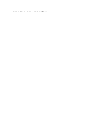THE LESSON IN ACTION: *"Butbe ye doersof the word, and nothearersonly* ..." (James1:22).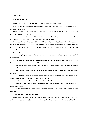# **United Prayer**

#### **Bible Text:** Acts 4:23-31 **Central Truth:** There is power in united prayer.

In the third chapter of Acts we read that as Peter and John entered the Temple through the Gate Beautiful, they saw a man begging alms.

Peter told the man to look at them. Expecting to receive a coin, he looked, and Peter told him, "Silver and gold *have Inone;but such as Ihavegive*

*I* thee: In the name of Jesus Christ of Nazareth rise up and walk " (Acts 3:6). Peter took the man by the hand, lifted him up, and the man started walking. He entered the Temple praising God.

This raised a stir among the people, and Peter and John were taken before the priests and elders. They were cast into prison, and the next day were taken before the rulers. Unable to deny that a true miracle had taken place, the priests were forced to let them go. However, they commanded them not to preach or teach in the Name of Jesus anymore. Then we read:

ACTS4:23-30

**23 Andbeing letgo, they went to theirowncompany,andreportedall that the chiefpriestsandeldershad saidunto them.**

**24 And whenthey heardthat, they lifteduptheir voice to God withone accord, andsaid, Lord, thouart God, whichhastmadeheaven,andearth,andthe sea,andall that inthemis:**

**25 Who by the mouthof thy servant Davidhast said, Why didthe heathenrage, andthe people imagine** vain things?

**26 The kings of the earthstoodup, andthe rulers were gatheredtogether against the Lord, andagainst his Christ.**

**27 For of a truthagainst thy holy childJesus, whomthouhast anointed,both Herod, and Pontius Pilate,** with the Gen tiles, and the people of Israel, were gathered together,

**28 For todo whatsoever thyhandandthy counseldeterminedbefore tobedone.**

**29 And now, Lord, behold their threaten-ings: and grant unto thy servants, that with all boldness they may speakthy word,**

**30 By stretching forththinehandtoheal;andthat signsand wonders maybedoneby thenameof thyholy** child Jesus.

#### **From Prison to Prayer Group**

Notice the first thing Peter and John did when they were released from the prison: *"And being let go, they went to their own company*…" A good place to be when in trouble is with your "own company" — people of like faith! It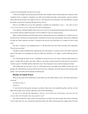isgood to be around people who know how to pray.

I often have thought that if thisgroup had been like some Christians today, the first thing they would have done would have been to organize a committee to go talk to those leaders and make a deal whereby everyone could get along. Afterall, these leaders were religious men, too. They believed in God and prayer. The only difference was that they didn't accept Jesus as being the Messiah, the Son of God.

However, the Bible does not say they appointed a committee for compromise. It says, "... *they lifted up their voice to God with one accord."* They knew the value of united prayer.

I was raised in a Southern Baptist church, and in my youth I never heard people praying aloud in united prayer. In our church someone usually led in prayer. We never lifted our voices as a group in prayer.

When I started attending some Full Gospel services, their praying all at once disturbed me. I would go down to the altar to pray with them,but I prayed quietly. It bothered mebecause they prayed aloud. Their services stimulated my faith, but when I prayed at the altar, I would get at the far end, away from them, so I wouldn't be close to their noise.

One time I ventured to say something about it. I told them that God wasn't hard of hearing. They responded, "He isn't nervous, either."

I decided to search my Bible for the scripturalanswer to thisquestion. I wanted to seehow the Early Church had prayed. (We claim to be preaching the same New Birth they preached, so we might as well be following them in prayer.)

As I read through the Book of Acts, I underlined in red pencil every verse where it said the people prayed in a group. I couldn't find one place where they called on one person to lead in prayer! Nor did they have any kind of "sentence prayers." The Bible said they lifted their voices. They all prayed at once, and they all prayed out loud.

After reading this, the next time I went to a Full Gospel service I got right in the middle of where they were praying. My mind had been renewed with the Word, and I got a blessing I never had received when praying alone quietly. I saw for the first time theblessing ofunited prayer.

### **Results of United Prayer**

What was the result of the united prayer of the believers in this fourth chapter of Acts? Was their united prayer answered?

Let's look at verse 31:

ACTS4:31

31 And when they had prayed, the place was shaken where they were assembled together; and they were all filled with the Holy Ghost, and they spake the word of God with boldness.

In verse 29 we read that they had prayed, *"And now, Lord, behold their threatenings: and grant unto thy servants, that with all boldness they may speak thy word.*"

They had not asked the Lord to remove the persecution or to strike down their enemies. They had not asked the Lord to make their way easy. Instead they had prayed that in the midst of persecution they might preach the Word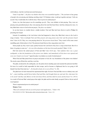with boldness. And the Lord had answered their prayer.

Verse31 says that "... *theplace was shaken where they wereassembled together.*..." Do you know ofany group of people who are praying and shaking anything today? If Christians today would get together and pray "with one accord," they would shake the world for Jesus. There is power in united prayer!

Notice, too, that their prayer was for something *specific.* They were definite in their praying. They were not praying some generalized prayer; they were praying about the need that faced them. And they all prayed at once. As they lifted their voices to God in fervent prayer, "the place was shaken."

In our last lesson we studied about a similar incident. Paul and Silas had been thrown in jail in Philippi for preaching the Gospel.

Instead of complaining to the Lord about what had happened to them, they lifted their voices to the Lord in songs of praise. *"And at midnight Paul and Silas prayed, and sang praises unto God: and the prisoners heard them"* (Acts 16:25). They, too, were praying aloud, for *"the prisoners heard them.*" They weren't off in some corner mumbling quiet, forlorn pleas to God. The prisoners heard them as they sang praises unto God.

Some people say they want to pray quietly because the Lord knows they have a song in their heart. But if it is there, it isgoing to comeout,"... *forout of theabundanceof theheart the mouth speaketh"* (Matt.12:34).

Did God answer the united prayer of Paul and Silas? Acts 16:26 says, *"And suddenly there was a great* earthquake, so that the foundations of the prison were shaken: and immediately all the doors were opened and *everyone'sbands were loosed.''* Again theplace was shaken asa result ofunited prayer!

When Paul and Silas joined forces in prayer and praise to God, the very foundations of the prison were shaken! The stocks came off their feet, and they were free.

The jailer, awakened by the earthquake, saw the prison doors standing open and assumed the prisonershad fled. He knew he would be held responsible for their escape, and he became so frightened that he was going to kill himself. Just then Paul cried out, "... *Do thyself no harm: for we are all here* " (v. 28).

The jailer knew he had witnessed the supernatural that night. He knew Paul and Silas were no ordinary men, and he "... *came trembling,and fell down before Paul and Silas, And brought them out,and said,Sirs, what must Ido* to be saved? And they said, Believe on the Lord Jesus Christ, and thou shalt be saved, and thy house" (vv. 29-31). As a result of Paul and Silas' united prayer that night, the jailer and his entire family accepted Christ as Savior and all were baptized.

There is supernatural power in united prayer!

#### **Memory Text:**

*"Theseall continued with oneaccord in prayerand supplication* ..."(Acts1:14). THE LESSON IN ACTION: *''But be ye doers of the word, and not hearers only*..." (James 1:22).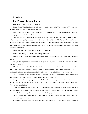## **The Prayer of Commitment**

**Bible Texts:** Matthew 6:25-27; Philippians 4:6

**Central Truth:** When the winds of adversity blow, we can do exactly as the Word of God says. We do not have to fret or worry; we can cast our burdens on the Lord.

Do you sometimes pray about a problem with seemingly no results? Unanswered prayers usually are due to our not praying in line with the Word of God.

Often there are times when we need to pray *the prayer of commitment.* Peter talked about this kind of prayer when he said, *"Casting all your care upon him; for he careth for you"* (1 Peter5:7). I believe *The Amplified Bible* translation of this verse is most illuminating and enlightening. It says, "Casting the whole of your care — all your anxieties, all your worries, all your concerns, once and for all — on Him; for He cares for you affectionately, and cares about you watchfully."

How wonderful that we can cast our cares upon the Lord in prayer!

### **Pray According to Laws Governing Prayer**

If people would just pray this prayer of commitment, it would eliminate some of the things they are praying about!

Some people's prayers are not answered because they are not doing what God said to do about cares, anxieties, worries, and concerns.

Other Christians seem satisfied to think that God knows and understands all about their problems — but they still cling to these cares. Therefore, they don't get their prayers answered. It is not enough to know that God understands and is concerned. We must *do* what He said to do if we want to be delivered from our problems.

Cast all your cares, all your anxieties, all your worries upon Him, for He cares for you. This is the prayer of commitment — the prayer of casting or rolling our cares and burdens upon Him.

A Scripture in the Psalms may help us see more clearly what Peter is talking about here: *"Commit thy way unto* the Lord; trust also in him; and he shall bring it to pass" (Ps. 37:5). A reference in the King James Version says, "Roll thy way upon the Lord."

Commit, cast, roll your burden on the Lord. *He* is not going to take it away from you. Some request, "Pray that the Lord will lighten this load." He's not going to do that. He doesn't want to just *lighten* your load; He wants to *carry* it all. But there is a vital part that we must play in this. It is *the prayer of commitment*.

God does not want His children to worry, to be full of anxiety, or to be burdened down with the cares of life. But there is something you must do.

In imperative sentences, such as those in First Peter 5:7 and Psalm 37:5, the subject of the sentence is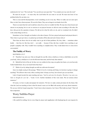understood to be "you." The Lord said,"You cast allyourcareupon him.""You commit your way unto the Lord."

We must do our part — we must obey the Lord before He can come to our aid. We must turn loose of our problem before He can take over.

This is a once-and-for-all proposition; it isn't something you do every day. When we really cast our cares upon Him, we don't have them anymore. We are rid of them. They are no longer in our hands, but in His.

There is so much that the Lord would have done for us, but we wouldn't let Him. We may have been honest and sincere in our praying, but we saw no answers to our prayers because we did not come according to His rules, His laws, that govern the operation of prayer. We did not do what He told us to do, and we wondered why He didn't work certain things out for us.

Sometimes we have brought our burden to the altar of prayer. We have prayed and prayed and prayed about it. Then when we got up to leave, we picked up our burden off the altar and took it home with us!

Then there are those who do not really want to get rid of their problems. Oh, they claim — sometimes rather loudly — that they do. But they don't — not really — because if they did, they wouldn't have anything to get people's sympathy with. They wouldn't have anything to complain about. They would almost have to close down conversation!

### **The Futility of Worry**

#### MATTHEW6:25-27

25 Therefore I say unto you, Takeno thought foryour life, what ye shalleat,or what ye shalldrink; noryet for your body, what ye shall put on. Is not the life more than meat, and the body than raiment?

26 Behold the fowls of the air: for they sow not, neither do they reap, nor gather into barns; yet your heavenly Father feedeth them. Are ye not much better than they?

27 Which of you by taking thought can add one cubit unto his stature?

Jesus was simply saying in this passage, "Which ofyou by worrying and being over-anxious is going to change anything?" We all know that worry is like a rocking chair: It keeps you busy, but it doesn't get you anywhere.

Luke's Gospel records the same teaching and says, *"And he said unto his disciples, Therefore I say unto you, Take no thought for your life* ..." (Luke 12:22). Another translation of this verse reads, "Be not anxious about tomorrow."

Of course, we have to plan and prepare for tomorrow. We have to make certain provisions for the future. But what the Lord was teaching us here is that He doesn't want us to be filled with anxiety and worry about tomorrow. We can say with the Gospel songwriter, "I don't know about tomorrow, but I know Who holds my hand." That's all that is important.

### Worry Nullifies Prayer

#### PHILIPPIANS<sub>4:6</sub>

6 Be careful for nothing; but in every thing by prayer and supplication with thanksgiving let your requests be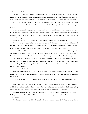madeknown unto God.

*The Amplified* translation of this verse will help us. It says, "Do not fret or have any anxiety about anything." Again, "you" is the understood subject of the sentence. When the Lord said, "Be careful (anxious) for nothing," He was saying, "[You] be careful for nothing...." In other words, "Don't *you* fret or have any anxiety about anything."

As long as you fret and have anxiety concerning the thing you are praying about, you are nullifying the effects ofyourpraying. You haven't cast it on the Lord; you stillhave it. Ifyou have it, He doesn't have it. If He has it,you don't have it.

As long as you are still worrying about your problem, lying awake at night, tossing from one side of the bed to the other, trying to figure it out, He doesn't have it. As long asyour stomach churns every time you think about it,as long as you can't eat for worrying about it, He doesn't have it. You do. And really, all of your praying about it will not work, because you have not done as He has commanded.

He has promised to bring it to pass, but only after you have committed your "way unto the Lord."

When we cast our cares on the Lord, we no longer have them. To illustrate, if I took the last five dollars out of my billfold and gave it to you, I wouldn't have it any longer; you would. Then if someone came along and asked to borrow a dollar, promising to pay it back the next day, I would have to say, "I don't have a dollar."

I pastored for about twelve years. Occasionally during that time, problems arose, and I would be tempted to worry about them. When I would find myself becoming anxious about something, I would start talking to myself. "Now, Kenneth,"I would say,"you know better than this. You arebeginning to fret. Don't do it. It'snot right."

Many times during the night I would awaken and the devil would bring to my mind a picture of certain conditions which existed in the church. I would be tempted to worry, but instead of worrying, I'd start laughing right out loud and say, "I don't have that problem.Praise the Lord, I'm carefree. I don't have it,devil. You can show me a picture of it if you want, but

I don't have it. The Lord has it."

It's amazing what God can do with yourproblems when *He* has them! But as long asyou hold onto them—as long as you try to figure them out for Him and try to help Him work them out — He doesn't have any of them. You have them all.

When the winds of adversity blow, we can do exactly as the Word of God says. We do not have to fret or worry; we can cast our burdens on the Lord.

If you haven't done it yet, there is no better time than now to turn loose of your problems and sleep peacefully tonight. If the devil tries to bring a picture of them before you, put them out of your mind immediately and say, "No, I don't have that, devil. I don't have a care, I have turned them over to the Lord and He has them."

He'll work on it while you are sleeping. He never slumbers or sleeps (Ps. 121:4). You need sleep, but He doesn't. "...*hegiveth hisbeloved sleep"* (Ps.127:2). You are Hisbeloved because you are accepted in the Beloved, the Lord Jesus Christ (Eph.1:6).

Therefore, you can sleep peacefully. If we really believe the Bible and practice God's Word, we never should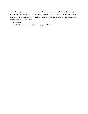worry. If we really believe what Jesus said —*"If ye shall ask any thing in my name, I will do it"* (John 14:14)—we wouldn't worry even if our house burned down while we were away. We wouldn't worry or fret about it. We would say, "Praise God, we'll get a better one." This is the attitude God wants us to have. Purpose in your heart today to practice God's Word; to practice faith.

Memory Text:

*"Casting all yourcareupon him; forhe careth foryou"* (1Peter5:7). THE LESSON IN ACTION: *"Butbe ye doersof the word, and nothearersonly* ..." (James1:22).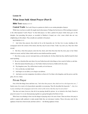## **WhatJesusSaid About Prayer (Part I)**

**Bible Text:** Matthew 6:5-13

**Central Truth:** The Lord's Prayer is a pattern in which we see certain principles of prayer.

While Jesus was here on earth, He taught much about prayer. Perhaps the best known of His teachings on prayer is the often-repeated "Lord's Prayer." In this brief prayer, we find a pattern for prayer which Jesus gave to His disciples. Just preceding this prayer, as recorded in Matthew's Gospel, are a few verses which also are very enlightening on this subject. They actually are a prelude to the prayer.

#### MATTHEW 6:5-13

5 And when thou prayest, thou shalt not be as the hypocrites are: for they love to pray standing in the synagogues and in the corners of the streets, that they may be seen of men. Verily I say unto you, They have their reward.

6 But thou, when thou prayest, enter into thy closet, and when thou hast shut thy door, pray to thy Father which is in secret; and thy Father which seeth in secret shall reward thee openly.

7 But when ye pray, use not vain repeti tions, as the heathen do: for they think that they shall be heard for their much speaking.

8 Be not ye therefore like unto them: for your Father knoweth what things ye have need of, before ye ask him.

9 After this manner therefore pray ye: Our Father which art in heaven, Hallowed be thy name.

10 Thy kingdom come. Thy will be done in earth, as it is in heaven.

11 Give us this day our daily bread.

12 And forgive us our debts, as we forgive our debtors.

13 And lead usnot into temptation,but deliverus from evil: For thine is the kingdom, and the power, and the glory, forever. Amen.

# Private Prayer

One of the first things Jesus said here was, *"And when thou prayest, thou shalt not be as the hypocrites are.*..." Surely none of us wants to be hypocritical, especially in our praying. Then He described the hypocrite: "... *they love to pray standing in the synagoguesand in the cornersof the streets, that they maybe seen of men.*"

This does not mean, however, that all of our praying should be private. As we looked at the Early Church in prayer in Lesson 14, we saw them praying togetherasagroup throughout the Book of Acts.

What Jesus was referring to here was the danger of praying only to be seen of men. There are those who pray in public to appear really spiritual; to make people think they are real prayer warriors. Those who pray only for the applause of men have their reward, and that is all it is — the fleeting applause of men.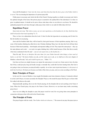Jesus told Hisdisciples to *"enter into thy closet,and when thou hast shut thy door,pray to thy Father which is in secret.*" He was stressing the importance of a private prayer life.

Public prayer is necessary and vital in the life of the Church. Praying together as a family is necessary and vital to the spiritual strength of the home. But private prayer is essential to the spiritual life of the individual. It is when we grow in spiritual stature. It should not be just at those crisis times when we are driven to our knees. We should be spiritually prepared for such times through adaily prayer time which we set aside for fellowship with God.

#### **Repetitious Prayer**

Jesus went on to say, "But when ye pray, use not vain repetitions, as the heathen do: for they think that they *shall beheard for their much speaking"* (v.7).

Thus, we have two admonitions from the Lord: (1) don't be like the hypocrites in ourpraying, and (2) don't be like the heathen in our praying.

Jesus said the heathen think they will be heard by their gods because of their repetitious praying. Sad to say, some of this heathen thinking has sifted down into Christian thinking! Many have the idea that God will hear them because of their much speaking —their lengthy and repeated calling on God. They repeat the same prayer—they say the same phrases and words — over and over again, thinking they will be heard because of that. But this is exactly what Jesus condemned when He said, "... use not vain repeti tions, as the heathen do...."

Then He said, *"Be not ye therefore like unto them: for your Father knoweth what things ye have need of, before ye ask him."* He knows before you ask, yet He wants you to ask, as we shall see in the next chapter of Matthew, where He said,*"Ask,and it shall begiven you* ..."(Matt.7:7).

God does not hear you simply because you repeat the same prayer over and over. Some seem to have the idea that if they could just pray long and loudly enough, eventually they could talk God into hearing them. But God is not going to hearyou because you prayed loudly orquietly. As we have seen in previous lessons, *it is the prayer of faith that God hears.* He hears you because you believe Him when you pray, and you come according to His Word.

### **Basic Principles of Prayer**

In the next few verses in Matthew, Jesus taught His disciples some basic elements of prayer. Commonly referred to as the Lord's Prayer, it is more accurately the Disciples' Prayer, or the model for prayer that He gave to them while He walked with them on the earth.

Dispensationally speaking, this is not the Church praying, for the disciples did not ask anything in the Name of Jesus. When the Church prays, she prays in the Name of Jesus. (However, we can learn many truths concerning prayer here.)

Jesus was not telling the disciples to pray this prayer word for word. He was giving them some principles in connection with prayer that willwork for the Church today.

### **The Principle of Praise**

Theprayerbegins with the words, *"Our Father which art in heaven*...." The unsaved can pray thisprayer just as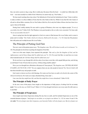they can recite a poem or sing a song. But to really pray this prayer from the heart — to really have fellowship with God — one must actually be a child of God. Otherwise, he cannot truly say, "Our Father...."

We hear much teaching these days about "the fatherhood of God and the brotherhood of man." Some would try to make us believe we all are children of God; that He is the Father of all of us. While it's true that He's the Creator of all,and we allare fellow creatures, He *isn't* theFatherofallofus. He isonly theFatherof those who have been *born again;* those in His family.

During Jesus' earthly ministry He once said to a group ofPharisees, who were very religious people, *"Ye are of your father the devil"* (John 8:44). The Pharisees were good people as far as works were concerned. Yet Jesus said, *"Yeareof your father thedevil"!*

Jesus is saying here that the right approach to God is to come to Him because He is ourFather, and to come in praise and in worship: *"Our Father which art in heaven, Hallowed be thy name* ..." (v. 9). Come into His presence first with praise and worship because He is our Father.

# The Principle of Putting God First

Thenext verse in thispattern prayer says, *"Thy kingdom come.Thy will bedone in earth,as it is in heaven " (*v. 10). The principle involved here is putting the kingdom of God first.

Later on in this same chapter, Jesus repeated this principle: *"But seek ye first the kingdom of God, and his righteousness; and all these things shall be added unto you"* (v. 33). If we put God first, we need have no worry about materialneeds, for*"all these things shall beadded unto you.*"

We do not have to go through life with the soles of our shoes worn thin, with unpaid bills past due, and driving an old Model T Ford. If God is first in our lives, "all these things shall be added."

Haveyou ever thought how all-inclusive thisprayer is? Jesusprayed,*"Thy kingdom come.THYWILL BE DONE IN EARTH, AS ITIS IN HE A VEN.*" Do you suppose there are any sick people in heaven? No. Nor is it God's will that there should be any sick peopleon earth.

God wants to shower our lives with blessings. He wants our lives here on earth to be lived in the center of His will, as it is in heaven. He wants us to enjoy abundant living. Jesus said, "...

*Iam come that they might have life,and that they might have it moreabundantly"* (John 10:10).

### **The Principle of Daily Prayer**

In the next verse of this prayer, Jesus taught us the importance of daily prayer, of asking God for our **every need:** *"Give us thisday our DAILYbread"* (Matt.6:11). Even though God knows our every need, He still wants us to ask Him!

### **The Principle of Forgiveness**

Jesus taught much about forgiveness during His stay here on earth, and He included forgiveness as one of the essential elements of prayer: "And forgive us our debts, as we forgive our debtors" (v. 12). In verses 14 and 15 He also said, "For if ye forgive men their trespasses, your heavenly Father will also forgive you: But if ye forgive not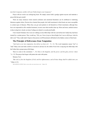*men their trespasses,neither will your Father forgive your trespasses.*"

Prayer will not work in an unforgiving heart. We simply cannot hold a grudge against anyone and maintain a prayer life that gets results!

There are many instances where mental confusion and emotional frustration can be attributed to harboring bitterness against others. Doctors have learned that people who hold resentment in theirhearts are more susceptible to certain types of diseases. When they can get such patients to rid themselves of their resentment, although they have not responded at all to medical treatment, in most cases their trouble clears up. More and more, medical science is discovering how closely our inner feelings are related to our physical health.

I have heard Christians who were not walking in close fellowship with the Lord tell me how badly they had been treated by a certain person. They would say, "Oh,yes, I have *forgiven* him all right, but I never will *forget* what he did to me!" They really hadn't forgiven that person at all! Resentment still lurked in the hidden corners of their heart.

### **The Principle of Deliverance from Temptation**

*"And lead us not into temptation, but deliver us from evil.. ."(v. 13).* The word temptation means "test" or "trial." Many tests and trials could be overcome in advance by the child of God who is enjoying the fellowship with the Father that a proper prayer life brings.

Then we come to the conclusion: "... *For thine is the kingdom, and the power, and the glory, forever. Amen "* (v. 13). The prayer that began with praise also ends with praise.

Memory Text:

"But seek ye first the kingdom of God, and his righteousness; and all these things shall be added unto you *"* (Matt.6:33).

THE LESSON IN ACTION: *"Butbe ye doersof the word, and nothearersonly* ..." (James1:22).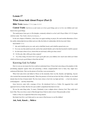## **WhatJesusSaid About Prayer (Part2)**

#### **Bible Texts:** Matthew 7:7-11; Luke 11:5-13

**Central Truth:** God loves us and wants us to have good things, just as we love our children and want them to have good things.

The model prayer Jesus gave to His disciples, commonly referred to as the Lord's Prayer (Matt. 6:9-13), begins with the words,*"Our Father which art in heaven*...."

In the next chapter of Matthew, when Jesus was again teaching on prayer, He used another illustration of how the earthly relationship between father and son is like the believer's relationship with the heavenly Father.

#### MATTHEW7:7-11

- 7 Ask,and it shallbegiven you; seek,and ye shall find; knock,and it shallbeopened unto you:
- 8 For every one that asketh receiveth; and he that seeketh findeth; and to him that knocketh it shall be opened.
- 9 Or what man is there of you, whom if his son ask bread, will he give him a stone?
- 10 Or if he ask a fish, will he give him a serpent?

11 Ifye then, being evil, know how to give good gifts unto your children, how much more shallyourFather which is in heaven give good things to them that ask him?

## Knowing God As Father

Here we can see one reason the Jews could not understand Jesus. If Jesus had come along as the prophets of old, proclaiming judgment against them and presenting a distant, unapproachable God to them, they might have understood Him better. That was the picture of God they were accustomed to.

When God came down and talked to Moses on the mountain, there was fire, thunder, and lightning. Anyone who touched that mountain died instantly. When the presence of God moved into the Holy of Holies, no one dared intrude there for fear of instant death. The Jews knew about a God who was high and holy — a God who dealt an awful judgment —and they feared Him.

Jesus, however, came with a message of love. He introduced God as a Father. He suggested they could approach God asaFather. But the Jews just couldn't comprehend that kind ofa God.

We see the same thing today. To many, Christianity is just a religion about a faraway God. They really don't know Him. They neverhave come to Him through Jesus Christ in order to know Him personally as their

Father; so they try to approach Him in the wrong manner.

But thank God, He *is* our Father and we can come to Him because we are His children!

#### **Ask, Seek, Knock... Believe**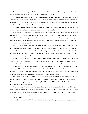Whether or not they use it, most Christians are aware that this verse is in the Bible: *"Ask, and it shall be given you; seek,and ye shall find;knock,and it shall beopened unto you"* (Matt.7:7).

Too often, though, we fail to receive what we are asking for; we fail to find what we are seeking; and the door on which we are knocking is not opened. Why? We must be doing something wrong when we don't receive, because the next verse promises, *"For every one that asketh receiveth;and he that seeketh findeth;and to him that knocketh it shall be opened"* (v. 8). What is the reason for our failure?

I once read a book by a missionary who had spent 32 years in the Holy Land. This was around the turn of the century, when customs there were very much like they had been for centuries.

In his book, the missionary commented on this passage of Scripture in Matthew 7. He said, "I thought, as most Christians do, that when Jesus said, 'Ask, and it shall be given you; seek, and ye shall find; knock, and it shall be *opened unto you,*' He meant ifyou asked and didn't receive an immediate answer to keep on asking. However, after living in the Holy Land for many years and becoming familiar with the thinking of the Eastern mind, I learned that this wasnot what Jesus meant at all.

"In those days, if someone came to the outergate and knocked, seeking entrance, the more wealthy would send their servant to call out and ask the name of the visitor. If it was someone who was known, they could enter immediately. If it was someone unknown, the servant would go to the master of the house and ask if he should let the visitor in. The thought here is that *when you knock, if you are known, you gain immediate entrance. 'To him that* knocketh it shall be opened.'"

If when we ask we do not receive, if when we seek we do not find, if when we knock it isnot opened to us, we should ask ourselves if we are known by the Master of the house. If not, we should become acquainted personally and intimately with our Lord and Savior Jesus Christ. We should make Him Lord of our life.

Having done this, the next step is faith, to "... *believe that he is, and that he is a rewarder of them that diligently seek him"* (Heb. 11:6). For, as Jesus explained in Matthew 7:11, our heavenly Father is eager to give good gifts unto His children: "If ye then, being evil, know how to give good gifts unto your children, how much more *shall your Father which is in heaven givegood things to them that askhim? "* (v.11).

What earthly father wants his children to go through life poor and downtrodden, sick and suffering? On the contrary, most of us labor and sacrifice so our children can have advantages we never had. So if you, being carnal being human —want good things foryour children, "... *HOW MUCH MORE shall your Father which is in heaven givegood things to them that askhim? "*

Those three words, "how much more," send a thrill through my spirit. If we want happiness for our children, how much more does God want the same for us. If we want good health for our children, how much more does God want good health for us. If we want material blessings for our children, how much more does God want the same for us.

Luke's account of this story gives us a few more details.

LUKE 11:5-13

5 And he said unto them, Which of you shall have a friend, and shall go unto him at midnight, and say unto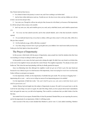him, Friend, lend me three loaves;

6 Fora friend of mine in his journey iscome to me,and I havenothing to set beforehim?

7 And he from within shallanswerand say, Trouble me not: the door isnow shut,and my children are with me in bed; I can not rise and give thee.

8 I say unto you, Though he will not rise and give him, because he is his friend, yet because of his importunity he will rise and give him as many as he needeth.

9 And I say unto you, Ask, and it shall be given you; seek, and ye shall find; knock, and it shall be opened unto you.

10 For every one that asketh receiveth; and he that seeketh findeth; and to him that knocketh it shall be opened.

11 Ifa son shallask bread ofany ofyou that is a father, willhegivehim a stone?or ifhe ask a fish, willhe fora fish give him a serpent?

12 Or ifhe shallask an egg, willheofferhim a scorpion?

13 Ifye then,being evil,know how to givegood giftsunto yourchildren: how much more shallyourheavenly Father give the Holy Spirit to them that ask him?

# The Prayer of Importunity

In this account, which deals with the prayerof importunity, many people have had the mistaken idea that Jesus was teaching us to keep on asking in order to get results.

In this parable we see a man who had a guest arrive during the night. He didn't have any bread to set before him, so he went to his neighbor's house and asked for a loaf of bread. The neighbor responded, "I'm already in bed; don't bother me." But when the man kept pleading with him, he finally granted his request.

Jesus was illustrating here that although the neighbor would not get out of bed to give the man bread just becausehe wasa friend,hegave it to him becauseofhis importunity. Jesus was saying *how much more*ourheavenly Father will hear us and grant our requests.

It is the importunity of faith, not the importunity of unbelief, that gets results. We can keep on begging God importuning all we want — and we never will get an answer if our importuning prayer is in unbelief.

It is the importunity of faith that works: *"Ask, and it shall be given you; seek, and ye shall find; knock, and it shall beopened unto you.*"

Andrew Murray had real insight into this subject of importunity in prayer. He said it is not good taste to ask the Lord for the same thing over and over again. He said if the thing which you have prayed about hasn't materialized, don't ask again the same way you did in the beginning. That would be a confession that you didn't believe God the first time.

Just remind God ofyour request. Remind Him of what He promised. Remind Him you are expecting the answer, and let this importunity be an importunity of faith. It will bring results.

Luke's account of the story is more detailed then Matthew's, and in verse 13, Luke added something. Matthew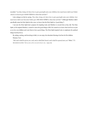recorded,"//ye *then,being evil,know how to give good giftsunto your children,how much more shall your Father which is in heaven give GOOD THINGS to them that askhim?"*

Luke enlarges on this by saying, *"If ye then, being evil, know how to give good gifts unto your children: how much more shall your heavenly Father give THE HOLYSPIRITto them that ask him?"* (Although Matthew didn't specifically name the Holy Spirit in this verse, we know that the Holy Spirit is a "good thing.")

I am sure the Holy Spirit had a purpose for inspiring Luke and Matthew to record this as they did. The Holy Spirit, as He inspired Matthew, wanted to stress the good things of life. He wanted us to know that God loves us just as we love our children and want them to have good things. The Holy Spirit inspired Luke to emphasize the spiritual things God has forus.

By asking, seeking, and knocking in faith, we can enjoy the abundant blessings God has for His children. Memory Text:

*"Ask,and it shall begiven you; seek,and ye shall find;knock,and it shall beopened unto you"* (Matt.7:7). **THE LESSON IN ACTION:** *"Butbeyedoersof theword,andnothearersonly* **..." (James 1:22).**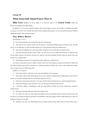## **WhatJesusSaid About Prayer (Part3)**

**Bible Texts:** Matthew 21:18-22; Mark 11:12-14,20-24; John 15:7,8 **Central Truth:** Where the Word of God abides, there faith abides.

In Matthew 21 we come to another passage where Jesus taught on prayer. He actually was talking about faith *and* prayer. You can't very well talk about faith without talking about prayer, nor can you talk about prayer without talking about faith. They go hand in hand.

### **Pray, Believe, Receive**

MATTHEW21:18-22

18 Now in the morning as he returned into the city, he hungered.

19 And when he saw a fig tree in the way, he came to it, and found nothing thereon, but leaves only, and said unto it, Let no fruit grow on thee henceforward for ever. And presently the fig tree withered away.

20 And when thedisciples saw it, they marvelled, saying, How soon is the fig tree withered away!

21 Jesus answered and said unto them, Verily I say unto you, Ifye have faith,and doubt not,ye shallnot only do this which is done to the fig tree, but also if ye shall say unto this mountain, Be thou removed, and be thou cast into the sea; it shall be done.

22 And all things, whatsoever ye shall ask in prayer, believing, ye shall receive.

Let's look at this same account in Mark's Gospel. This is the only reference to prayer in the Book of Mark, but the writer devoted a great deal of attention to it. Whereas Matthew told the story in five verses, Mark takes nearly twice as many verses to tell the same story.

MARK 11:12-14,20-24

12 And on the morrow, when they were come from Bethany, he was hungry:

13 And seeing a fig tree afar off having leaves, he came, if haply he might find any thing thereon: and when he came to it, he found nothing but leaves; for the time of figs was not yet.

14 And Jesus answered and said unto it, No man eat fruit of thee hereafter for ever. And his disciples heard it....

20 And in the morning,as they passed by, they saw the fig treedried up from the roots.

21 And Peter calling to remembrance saith unto him, Master, behold, the fig tree which thou cursedst is withered away.

22 And Jesus answering saith unto them, Have faith in God.

23 Forverily I say unto you, That whosoever shallsay unto this mountain, Be thou removed,and be thou cast into the sea; and shall not doubt in his heart, but shall believe that those things which he saith shall come to pass; he shall have whatsoever he saith.

24 Therefore I say unto you,What things soeverye desire, when ye pray,believe that ye receive them, and ye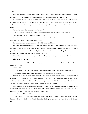shall have them.

In studying the Bible, it is good to compare the different Gospel writers' accounts of the same incidents in Jesus' life. In this way we get different viewpoints. (One writer may give us details that the others left out.)

In Matthew's account of the above story, Jesus said, *"And all things whatsoever ye shall ask in prayer, believing, ye shall receive" (v.* 22). Mark put it a little differently: "... *What things soever ye desire, when ye pray, believe that ye receive them, and ye shall have them"* (v. 24). Both writers gave the basic formula for faith: Pray, believe, receive.

Someone has asked, "But what if you didn't receive?"

Then you didn't ask believing, did you? The Scripture says if you pray and believe, you shall receive.

"Yes, but maybe it isn't the will of God," people will reply.

The Scripture didn't say anything about that. We are too quick to use this as an excuse for our unbelief. *Jesus said if you ask in prayer,believing,you shall receive!*

"But what if someone asked for ten million oil wells?" someone might ask.

Well, if you have faith for ten million oil wells, you will get them. But I doubt seriously you could believe that. Don't ask me to agree with you in prayer for them, because I don't think I could. However, if you *can* believe that you will receive ten million oil wells, you willget them.Sometimes I have believed for things that seemed almost as impossible and have received them. Jesus said it, and I believe it:

*"What things soeveryedesire, when yepray,believe that ye receive them,and ye shall have them*."

# The Word of Faith

In John's account of what Jesus said about prayer, not one time does he use the words "faith" or "believe." Let us look at one example:

JOHN 15:7,8

7 If ye abide in me, and my words abide in you, ye shall ask what ye will, and it shall be done unto you.

8 Herein is my Father glorified, that ye bear much fruit; so shall ye be my disciples.

Why was it unnecessary to use the words "faith" or "believe" in this passage of Scripture about prayer? It is because there isno problem with faith if His words abide in you. There isonly a lack of faith when the Word *doesn't* abide in you, because if the Word doesn't abide, something else does. If the Word abides in you, faith abides in you: *"So then faith cometh byhearing,and hearing by the word of God"* (Rom.10:17).

A person may be giving mental assent to belief in the Word of God. He could stand up, shake his fist, and declare with fervor that he believes in the verbal inspiration of the Bible, that he believes it from cover to cover — from Genesis to Revelation — yet never have the Word abiding in him.

Notice that Jesus didn't say, "//

*YE abide* in me <sup>arr</sup> If He had stopped there, we would automatically have it made as born-again Christians, because with the New Birth we do abide in Christ. But the Scripture goes on to say, "... *and my words abide in you*...."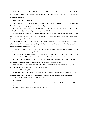The Word is called "the word of faith": *"But what saith it?The word isnigh thee, even in thy mouth,and in thy heart: that is, the word of faith, which we preach"* (Rom. 10:8). If this Word abides in you, it will cause faith to spring up in your heart.

#### **The Light of the Word**

That is the reason the Psalmist of old said, *"The entrance of thy words giveth light..."* (Ps. 119:130). When we know the Word, we are not praying in the dark. We have light.

Again thePsalmist said,*"Thy word isa lamp unto my feet,and a light unto mypath "* (Ps.119:105).We are not walking in the dark. Our pathway is lighted when we have the Word!

If we have a lighted pathway, we can walk in that light. "... *if we walk in the light, as he is in the light, we have fellowship one with another...* " (1 John 1:7). This doesn't say a thing about *standing* in the light. It says "walk." God's Word is a light unto the path that we walk.

The Psalmist also prayed: "... *quicken thou me according to thy word"* (Ps. 119:25). Jesus said, *"If my words abide in you*...." He cannot quicken us according to His Word — although He wants to — unless His words abide in us; unless we walk in the light of the Word.

I heard F.F. Bosworth preach when he was 75 years old and still active in the Lord's work. He said, "I always start every morning by saying, 'Lord,quicken thou me according to thy Word.' "

Then he went on to say what it meant to him to be quickened according to God's Word. He told me how he still was in good health at age 75. For all those years he had trusted God and never had any kind of medication.

Bosworth lived to be 81 years old and was busy in the Lord's work up until the end. In January 1958, he knew the timehad come forhim to die. Heknew in his spirit that the Lord wascoming forhim.

A close friend ofhis flew to hisbedside in Florida.When he arrived, Brother Bosworth was sitting up in bed. He lifted his hand and praised God, saying, "Brother, this is the day

I have waited forallof my life. I am going home."

He had prayed daily, "Lord, quicken thou me according to thy Word," and the Lord quickened him every day until He took him home. Bosworth died without sickness or disease. He just went home to be with the Lord.

God's Word is true whether or not we put it into practice.

Memory Text:

"If ye abide in me, and my words abide in you, ye shall ask what ye will, and it shall be done unto you" (John 15:7).

THE LESSON IN ACTION: *"Butbe ye doersof the word, and nothearersonly.. ."* (James1:22).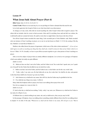## **WhatJesusSaid About Prayer (Part4)**

#### **Bible Texts:** John 14:10-14; 16:23,24,7-11

**Central Truth:** Whatever our need may be, it is our privilege in Christ to demand that this need be met.

Let us look again into the Gospel of John to see what Jesus had to say about prayer.

As strange as it may seem, John did not record anything the other Gospel writers did in regard to prayer. The others did not include what he wrote in their accounts. John said if everything Jesus said and did was written, the world itself could not contain the books. He said he wrote that we might believe that Jesus is the Son of God.

Not all the Gospel writers recorded the same thing. Luke recorded part of what Matthew said. Mark recorded only one instance of Jesus' teaching on prayer, as we saw in our last lesson on Mark 11:12-24, the cursing of the fig tree.Matthew covered this in Matthew 21.

Matthew also talked about the prayer of agreement, which none of the other writers mentioned: "... *if two* of *you* shall agree on earth as touching any thing that they shall ask, it shall be done for them of my Father which is in *heaven"* (Matt. 18:19). Actually, we have to put all the accounts together to get a clear picture of Jesus' teachings on prayer.

John covers the subject of prayer from an entirely different standpoint. Let us look at two passages of Scripture which seem similar, but really are quite different.

#### JOHN 14:1014

10 Believest thou not that I am in the Father, and the Father in me? the words that I speak unto you I speak not of myself: but the Father that dwelleth in me, he doeth the works.

11 Believe me that I am in the Father, and the Father in me: or else believe me for the very works' sake.

12 Verily, verily, I say unto you, He that believeth on me, the works that I do shall he do also; and greater works than these shall he do; because I go unto my Father.

13 And whatsoever ye shall ask in my name, that will I do, that the Father may be glorified in the Son.

14 Ifye shallask any thing in my name, I willdo it.

Many think this Scripture refers to prayer, but Jesus is not talking about prayer here at all.

Now let us compare two verses in John 16.

JOHN 16:23,24

23 And in that day ye shall ask me nothing. Verily, verily, I say unto you, Whatsoever ye shall ask the Father in my name, he will give it you.

24 Hitherto have ye asked nothing in my name: ask, and ye shall receive, that your joy may be full.

In this passage of Scripture, Jesus was talking about something entirely different from what He was talking about in chapter 14. In John 16 He said, *"Whatsoever ye shall ask the Father in my name, HE will give it you."* But in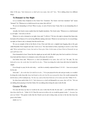John 14 He says, *"And whatsoever ye shall ask in my name, that will* 7 do...." He is talking about two different things.

### **To Demand As Our Right**

Let us examine these Scriptures in the Greek New Testament. The Greek word here translated "ask" means "demand." Or,"Whatsoeverye shall*demand* in my name, that will I do."

We are not demanding it of God. When we pray, we ask of God in Jesus' Name. But we are demanding this of the devil.

Actually, the Greek is more explicit than the English translation. The Greek reads, "Whatsoeverye shalldemand asyour right..."(not ask asa favor).

Whatever we ask or demand as our right, Jesus said, "I will do it." We have the right to demand that Satan take his hands off our finances if we are having difficulty making ends meet. Whatever our need may be, it is our privilege, our right, in Christ to ask, to demand, that this need be met.

We see an example of this in the Book of Acts. Peter and John saw a crippled man begging alms at the gate called Beautiful. Peter stopped and said, "Look on us." The man looked at them, expecting to receive a coin. Peter said, "Silver and gold have I none; but such as I have give I thee: In the name of Jesus Christ of Nazareth rise up *and walk"(Acts*3:6).

Peter demanded in Jesus' Name that the cripple get up and walk. He didn't pray that God would do it. He knew Jesushad said that whatever wedemand,orask, in Hisname, He would do.

Just before Jesus said, *"Whatsoever ye shall ask* [demand] *in my name, that will I do,"* He said, *"He that believeth on me, the works that I do shall he do also.*..."Peter was doing the works Jesus did when he healed the cripple.

Even though we pray for the sick today — and this is certainly scriptural (James  $5:14-16$ ) — Jesus never prayed for the sick.

Jesus said,".. *.the works that Ido shall he do also.*..." If we just prayed for the sick and got results, we wouldn't be doing the works Jesus did. *Jesus laid hands on the sick,but He never prayed for them.* He would command the devil to leave, or He would just say, "Go thy way; and as thou hast believed, so be it done unto thee" (Matt. 8:13).

So when Jesus said in John 14:13, *"And whatsoever ye shall ask* [demand] *in my name, that will Ido,* " He was not talking about praying to God the Father; He was talking about doing the same works He did.

# **Greater Works**

Not only did Jesus say that we would do the *same* works that He did; He also said, "... *and GREATER works than these shall hedo..."* (John 14:12). Then He went on to tellus *why* we would do greater works: "...*because Igo unto my Father.*" The greater works that the Church can do and is doing today are due to the fact that Jesus has gone to the Father.

JOHN 16:7-11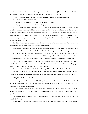7 Nevertheless I tellyou the truth; It is expedient [profitable, foryourbest] foryou that I go away: for if I go not away, the Comforter willnot comeunto you; but if I depart, I willsend him unto you.

8 And when he is come, he will reprove the world of sin, and of righteousness, and of judgment:

9 Of sin, because they believe not on me;

- 10 Of righteousness,because I go to myFather,and ye see meno more;
- 11 Of judgment, because the prince of this world is judged.

What are these greater works? We show men and women how to become born again. "But weren't people saved, or born again, under Jesus' ministry?" someone might ask. They were saved in the same sense that the people in the Old Testament were saved, but they were not "born again." The work of the Holy Spirit is necessary in the New Birth, and while Jesus was on earth the Holy Spirit had not yet been given. This is why Jesus said, "... *It is* expedient for you that I go away: for if I go not away, the Comforter will not come unto you; but if I depart, I will *send him unto you"* (John 16:7).

"But didn't Jesus forgive people's sins while He was here on earth?" someone might say. Yes, but there is a difference between having one's sins forgiven and being born again.

After a person is born again, if he sins, he can get forgiveness, but he is not born again a second time. (If that were true, we might be born again thousands of times.) The New Birth is a greater work than a healing or a miracle.

So people were not born again while Jesus was on earth.Second, we never read in the four Gospels, *"And the Lord added daily to the Church such as should be saved."* However, we do see this repeatedly in the Book of Acts. This isbecause there *wasn't* any Church in Jesus' day in the sense that we think of the New Testament Church.

The only Body of Christ that was on earth was His *physical* body. There were those who believed on Him and who had the promise of that which was to come, but their belief s could only be consummated when the Holy Spirit came to baptize them all into one Body. The Body had to be formed.

Today we are the spiritual Body of Christ. Theonly Body of Christ in the world today is the Church.

Not only was no one born again or added to the Church under the ministry of Jesus, neither was anyone filled with the Holy Spirit under His ministry. These are "the greater works" that we do because He went to the Father.

# Praying in Jesus' Name

Let us compare now what Jesus said in John 16 regarding prayer: *"And in that day ye shall ask me nothing.*.." (v. 23). When He said "in that day," He was referring to the day in which we now live — the day of the New Covenant, the day of the New Testament.

One translation of this verse reads, "In that day ye shallnot pray to me." He told us not to pray to Him, but to pray to theFather in Jesus' Name. (See Lesson 3.)"...*Whatsoever ye shall ask the Father in my name,he will give it you."*

Then He went on to say, *"Hitherto have ye asked nothing in my name:ask,and ye shall receive, that your joy maybe full"* (v.24).

He was telling His disciples that while He was on the earth with them, they did not pray to the Father in Jesus'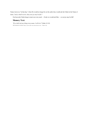Name; however, "in that day," when He would no longer be on the earth, they would ask the Father in the Name of Jesus,*"and ye shall receive, that your joy maybe full."*

Our heavenly Father longs to meet our every need — if only we would ask Him — so our joy may be full!

## **Memory Text:**

*"If ye shall askany thing in myname, I will do it"* (John 14:14). THE LESSON IN ACTION: *"Butbe ye doersof the word, and nothearersonly* ..." (James1:22).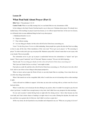# **What PaulSaid About Prayer (Part1)**

#### **Bible Text:** 1 Thessalonians 5:16-18

**Central Truth:** When we are fully trusting God, we can thank Him in every circumstance of life.

In his writings to the Early Church, Paul had much to say to these new Christians about prayer. We already have studied many of his teachings on prayer in previous lessons, so we will not repeat them here. In the next two lessons, we will merely look at some additional things he had to say about prayer.

#### 1 THESSALONIANS 5:16-18

- 16 Rejoice evermore.
- 17 Pray without ceasing.
- 18 In every thing give thanks: for this is the willof God in Christ Jesusconcerning you.

Verse 17 in the *King James Version* is a little misleading. Some people have gotten the idea that Paul was telling us here to pray all the time. Other translations of this verse read, "Never give up in prayer," or "Be unceasing in prayer." In other words, don't give up your prayer life. Maintain a prayer life. It doesn't mean that we are to pray with every breath. This is not possible.

The exhortation never to give up in prayer is sandwiched between the exhortations to "rejoice" and "give thanks." That isagood "sandwich,"isn't it?Paulsaid,"Rejoice evermore."We are to be fullof rejoicing.

Then he said,*"In every thing give thanks: for this is the will of God in Christ Jesusconcerning you.*"

"But I just can't thank God in *everything!"* some might exclaim.

Paul said you could. He said this is the will of God in Christ Jesus concerning *you*. We all want to be in the will of God. And we can when we have things in their proper perspective.

When we know and act upon the Word of God, we can truly thank Him in everything. I have done this in my own life when things looked bleak.

When I first started out on the evangelistic field, often I would close one revival meeting with no other meetings in sight.

I had a wife and two children to support. At the time, my niece also was living with us, so there were fiveofus to feed and clothe.

When I would close a revival and put the last offering in my pocket, often it wouldn't be enough to pay the rent when I got home. I wouldn't have enough money to buy food. And I didn't have any prospects forother meetings.

On one such occasion I started driving home at night after the closing service. I drove then because my tires were bald, and I had a better chance of making it at night when it was cooler. (During the daytime, the roads were hot, and there was a greater risk of a blowout. And I didn't even have a spare tire.)

All the way home, the devil perched on my shoulder and whispered in my ear, "What are you going to do now?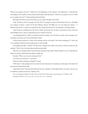What are you going to do now?" I didn't have air-conditioning, so the windows were rolled down. I could hear the tires singing, and it seemed as if they picked up the phrase and taunted me: "What are you going to do now? What are you going to do now?" It kept getting louder and louder.

But thank God when you have the Word, you can walk in the light of the Word.

I said, "I'll tellyou what I am going to do, Mr. Devil: I'm going to act just as if the Word of God is so. The Bible says, 'Rejoice evermore.' I rejoice for the \$42 offering I did get. The Bible says, 'In every thing give thanks ..." I thank God for the \$42. I may have needed \$102, but I thank God for the \$42. I am rejoicing. I am giving thanks.

"And I'll tell you something else, Mr. Devil. I thank God for this test, for this is a good time to prove that God and the Bible are true. This is an opportunity for me to believe God, and

I am thanking Him for it.Since you asked me what I'm going to do, I'll tellyou exactly what I'm going to do: I'm going to go home, go to bed, and sleep like a baby."

I arrived home around two o'clock in the morning, and my wife asked, "How did everything go?" I knew she was wondering if I had received enough money to meet the bills.

"Everything is just fine,"I told her. "Wedon't have a thing in the world to worry about. I'll tellyou about it in the morning." Then I went to bed and slept soundly and peacefully.

Early the next morning, before I had awakened, the phone rang. When Oretha handed it to me, I found that the caller was a pastor I had heard of but hadn't actually met.

He asked,"When can you start a meeting with us?"

"As soon as you want me to," I answered.

"Then how about starting next Sunday?" he said.

"I'llbe there," I said,praising God in my heart foranswered prayer, for meeting my needs again as He had in the past because I had trusted in Him.

I had obeyed God's Word and had rejoiced in the face of despair. If I had griped all the way home, I am not sure it would have worked out that way. Memory Text:

*"In every thing give thanks: for this is the will of God in Christ Jesusconcerning you"* (1 Thess.5:18). **THE LESSON IN ACTION:** *"Butbeyedoersof theword,andnothearersonly* **..." (James 1:22).**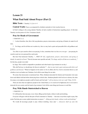# **What PaulSaid About Prayer (Part2)**

**Bible Texts:** 1 Timothy 2:1,2,8; 4:1-5

**Central Truth:** Prayer, accompanied by obedient surrender to God, touches heaven.

In Paul's writings to the young minister Timothy, he had a number of instructions regarding prayer. At this time Timothy was the pastor of a New Testament church.

### **Pray for Heads of Government**

#### 1 TIMOTHY 2:1,2

1 I exhort therefore, that, first ofall, sup plications,prayers, intercessions, and giving of thanks,be made for all men;

2 For kings, and for all that are in author ity; that we may lead a quiet and peaceable life in allgodliness and honesty.

Too often we put ourselves first in our praying. In fact, sometimes that is as far as we ever get — just praying for ourselves and our own personal lives and needs.

But here Paul instructed Timothy, "... *FIRST OF ALL, supplications, prayers, intercessions, and giving of thanks,be made forall men.*" Then hebecame more specific and said,*"Forkings,and forall that are in authority*\_" (In that day, people were ruled)

by kings. This would be comparable to presidentsand otherheadsofgovernment in ourday.)

Why did Paul say we should pray for those in authority? "... *that we may lead a quiet and peaceable life in all godliness and honesty.*" Whateverhappens in the nation we live in affects allofus. God is concerned about us, and whether or not our leaders are Christians, God will do some things for our sake.

We notice that intercession is mentioned here. When Abraham interceded for Sodom and Gomorrah, God came down and talked with him before destroying those wicked cities. Abraham pleaded with God not to destroy the cities if as many as ten righteous people could be found, and God said, "/ *will not destroy it for ten's sake"* (Gen. 18:32).

There are more than ten righteous people in the United States, so we need not be frightened, but we do need to intercede for our country and the heads of government. God will do some things just because we ask Him.

### **Pray** With Hands Outstretched to Heaven

#### 1 TIMOTHY 2:8

8 I will therefore that men pray every where, lifting up holy hands, without wrath and doubting.

Everyone will agree with the first part of Paul's statement to Timothy — that men everywhere ought to pray. But noticePaulalso gives some explicit instructionson prayer: "... *lifting up holyhands, without wrath and doubting.*"

We would all encourage people to pray without doubting. Jesus said, "... *whosoever shall say unto this*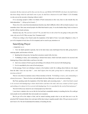*mountain, Be thou removed,and be thou cast into the sea;and SHALL NOT DOUBTin hisheart,but shall believe that those things which he saith shall come to pass; he shall have whatsoever he saith"* (Mark 11:23). (Certainly we also can see the necessity of praying without wrath.)

If we encourage people to follow two-thirds of Paul's instructions in this verse, then we also should obey his third admonition: "... *lifting up holyhands*...."

Those of us who come from denominational churches may find it difficult at first to lift our hands in prayer. I can remember when I first came around people who lifted their hands to pray. It was the hardest thing I had ever done in my life to lift my handsand pray.

Someone may ask, "Do you *have* to do it?" No,you don't *have* to do it, but if we are going to obey part of the verse, why not *all* of it? Why not pray New Testament style?

If Paul was writing to the Church under the inspiration of the Spirit of God, I am under obligation to obey. If *part* of it is inspired of God, then *all* of it is inspired, and we need to pay attention to it.

# Sanctifying Prayer

### 1 TIMOTHY 4:1-5

1 Now the Spirit speaketh expressly, that in the latter times some shall depart from the faith, giving heed to seducing spirits, and doctrines of devils;

2 Speaking lies in hypocrisy; having their conscience seared with a hot iron;

3 Forbidding to marry, and commanding to abstain from meats, which God hath created to be received with thanksgiving of them which believe and know the truth.

4 And every creature of God is good, and nothing to be refused, if it be received with thanksgiving;

5 For it is sanctified by the word of God and prayer.

In this passage, Paul is not referring to sinners or the heathen world. He is talking about believers who depart from the faith. Verse one says that "... *some shall depart from the faith, giving heed to seducing spirits, and doctrines of devils."* 

Then in verse three he mentions some of these doctrines of devils: *"Forbidding to marry, and commanding to abstain from meats* ..."Most ofushave met individuals who have fallen prey to such erroneous teaching.

But Paul, speaking under the inspiration of the Holy Spirit, said concerning meats, "... *which God hath created* to be received with thanksgiving to them which believe and know the truth. And every creature of God is good, and nothing to be refused, if it be received with thanksgiving: For it is sanctified by the word of God and prayer."

The devil will use any means he can to lead people away from God.

I once knew a minister who wason fire for God and had a remarkable ministry in reaching the lost. He could get more people saved accidentally than most people can on purpose.

But he got off on the subject of diet, and he started teaching people what to eat and what not to eat. He preached Old Testament dietary laws and spent all his time trying to regulate people's diets. If he got anyone saved, I don't know of it. The devil undermined his ministry of reaching the lost.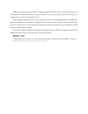Peoplehave asked me,"Do you eat pork?" Certainly I eat pork. I sanctify it *"by the word of God and prayer,*"as Paul teaches. You could eat skunk ifyou wanted to, because "... *every creature of God is good, and nothing to be refused, if it be received with thanksgiving"* (v.4).

We can regulate our diet however we want as long as we receive it with thanksgiving and it is sanctified with prayer. Then nothing we eat need hurt us. Nothing I eat everhurts me,because I sanctify it.So many people tell me they can't eat this or they can't eat that because it hurts them if they do. It need not, if you will sanctify it as Paul teaches us in this passage of Scripture.

We need to be careful of segments of the church world which have gone off into these areas, because Paul says that they havegiven *"heed to seducing spirits,and doctrinesof devils,"*

## **Memory Text:**

*"I will therefore that men pray every where, lifting up holyhands, without wrath and doubting"* (1 Tim.2:8). THE LESSON IN ACTION: *-Butbe ye doersof the word, and nothearersonly* ... " (James1:22).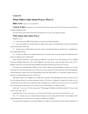# **What OthersSaid About Prayer (Part1)**

**Bible Texts:** James 5:13-18; Jude 20,21

**Central Truth:** Our prayers are not answered on the basis of how good we have been, but on the basis of our right standing in Christ.

Now let's turn to some other writers and see what they have to say on the subject of prayer.

### **What James Said About Prayer**

JAMES 5:13-16

13 Isany among you afflicted? let him pray. Isany merry? let him sing psalms.

14 Is any sick among you? let him call for the elders of the church; and let them pray overhim, anointing him with oil in the name of the Lord:

15 And the prayer of faith shall save the sick, and the Lord shall raise him up; and if he have committed sins, they shall be forgiven him.

16 Confess your faults one to another, and pray one for another, that ye may be healed. The effectual fervent prayerofa righteous man availeth much.

James asks three questions: "Is any among you afflicted? Is any merry? Is any sick among you?" He is talking about three different things here. The words "affflicted" and "sick" do not mean the same thing in this verse of Scripture. James gave one instruction for the afflicted and another instruction for those who were sick.

The Greek word translated here "afflicted" doesn't refer to illness or physical affliction. It means a test or trial. James said ifyou are going through a test or trial, do yourown praying. Not many people do that. Most people run around looking for someone else to do their praying for them. But James didn't say a word about getting anyone to pray foryou in this situation. He said,*"let him pray."*

This doesn't mean it's not all right forus to pray forone another. The main thing God wants us to learn is to do our own praying, because we can then gain great victories. If you have to depend on someone else to pray you out ofa trial, then thenext timeyou are confronted with oneof life's tests,you stillwon't know the way out. You stillwill have to find someone else to pray you out, and if you can't find someone, you might not make it.

James said,"7s*any merry? let him sing psalms*." Thispassage ofScripture needs little comment. It's easy to sing when we are merry, isn't it?

James then said,*"Isany sickamong you? let him call for the eldersof the church;and let them prayover*

*him* "P. C. Nelson, who was a Greek scholar, brought out in his writing that the Greek word translated "sick" implies that the person is so ill he can't do anything for himself. He is helpless.

If a person had a headache or some minor ailment, he could go to the church, where the pastor could pray for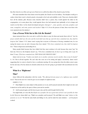him. But when he is so ill he can't get out of bed, he is to call for the elders of the church to pray for him.

(We must remember that when James wrote his epistle, the Church was in her infancy. The disciples would go to a place where there wasn't a church, preach, win people to the Lord, and establish a work. These new churches didn't have all the ministry gifts. Because some churches didn't have a pastor, they would appoint the eldest in the congregation, or in some places they would appoint those who had matured most spiritually to be in charge and watch over the flock. As the church developed and grew, God gave "... *some, apostles; and some, prophets; and some, evangelists; and some, pastors and teachers"* (Eph. 4:11). So in the process of time, there were those who were separated unto the ministry.)

### **Cana Person WithSinin His Life Be Healed?**

James instructed those who were sick to call for the elders to pray for them and anoint them with oil. *"And the* prayer of faith shall save the sick, and the Lord shall raise him up; and if he have committed sins, they shall be *forgiven <i>him*" (James 5:15). James wasn't saying that everyone is ill because of having committed sins; he was saying the reason *some* are sick is because they have sinned: *"If he have committed sins, they shall be forgiven* him." There is forgiveness and healing for us.

Many people think because they have failed God they must continue to be sick because they must "pay" for their sins. However, this Scripture doesn't say, "If he have committed sins, he has to go on being sick to pay for them."It says,*"If hehave committed sins,THEYSHALL BE FORGIVEN HIM."*

James went on to say, *"Confess your faults one to another, and pray one for another, that ye may be healed"* (v. 16). This is all tied together. We can't take this verse out of its setting and apply it incorrectly. James wasn't suggesting that we come to church to have a confession meeting. He was saying that when the elders come to pray for the sick man, if he has sinned, he should confess his sin. He isn't going to get healed with unconfessed sin in his life!

## **What Is a 'Righteous'**

### **Man?**

James followed this admonition with the words, *"The ef ectual fervent prayer of a righteous man availeth much.*" Then in the next two verses he gave us an example of a righteous man.

JAMES 5:17,18

17 Elias [Elijah] was a man subject to like passions as we are, and he prayed earnestly that it might not rain: and it rained not on the earth by the space of three years and six months.

18 And he prayed again, and the heaven gave rain, and the earth brought forth her fruit.

You might think,as I oncedid, *But Elijah wasa prophet. He wasa great man of God. Ican't possibly do what hedid.* However, James didn't say, "Elijah was a prophet, and he prayed." He said Elijah was a man *"subject to like passions as we are.*" He had the same faults and failings we do, and he made the same mistakes — yet his prayers worked.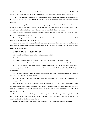God doesn't hear a prophet more quickly than He hears any other believer. James didn't say it was the "effectual fervent prayer of a prophet" that got the job done. He said, "The *effectual fervent prayer of a righteous man* 

"Well, if I were righteous I could do it,"you might say. But you *are* righteous ifyou are saved,because you are the *"righteousness of God in him* [Christ]" (2 Cor. 5:21). God made you righteous; you can't make yourself righteous.

As a pastor for nearly 12 years, I often saw people in my congregation who didn't live half as consecrated lives as others did, yet they could pray twice as effectively as the others. They could pray the prayer of faith more quickly for themselves and their families. I was puzzled about this until the Lord finally showed me through

His Word that we don't get our prayers answered on the basis of how good or how bad we have been; it is on the basis of our right standing in Him.

We are made righteous in Christ Jesus. *"Forhe hath made him to be sin forus, who knew no sin; that we might be made the righteousnessof God in him"* (2 Cor.5:21).

Righteousness means right standing with God. Jesus is our righteousness. Every one of us who is a born-again believerhas the same right standing or righteousness Jesushas.We are invited to come boldly to the throne ofgrace by way of the blood of Jesus.

# What Jude Said About Prayer

Jude also said something about prayer that isenlightening and helpful.

JUDE 20,21

20 But ye, beloved, building up yourselves on your most holy faith, praying in the Holy Ghost.

21 Keep yourselves in the loveof God, look ing for the mercy ofour Lord Jesus Christ unto eternal life.

Jude's teachingshere agree with whatPaul said to the Church at Corinth: *"For if Ipray in an unknown tongue, my spirit prayeth ...,*" and *"He that speaketh in an unknown tongue edifieth himself* ..." (1 Cor. 14:14,4). (See Lessons 9 and 10.)

The word "edify" means to build up. Praying in an unknown tongue edifies or builds up the believer. You could say it is a means of "spiritual muscle building."

Jude didn't say praying in the HolySpirit would build up your faith. He said, "...*building up yourselves on your most holy faith...*"

It's foolish to take a text out of its setting and try to prove something with it. We shouldn't try to make a verse say something that doesn't agree with the rest of the passage. We must interpret the verse in the light of the whole passage. We must study it in context, putting all the verses together. Then one verse willhelp and modify the other and they will fit together.

Romans10:17 tellsushow to build up our faith. *"So then faith cometh by hearing,and hearing by the word of God."* We build up our faith through the study of God's Word. Then, through praying in tongues, we build up ourselves spiritually on the faith we already have.

We can build spiritual muscle tone into our everyday lives as we are edified through praying in the Spirit.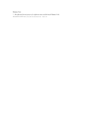Memory Text:

"... The effectual fervent prayer of a righteous man availeth much"(James 5:16). THE LESSON IN ACTION: *"Butbe ye doersof the word, and nothearersonly... " (James*1*:22).*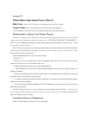# **What OthersSaid About Prayer (Part2)**

**Bible Texts:** 1 Peter 3:1-6,12; 1 John 5:14-16; Hebrews 6:4-6; 10:26-29; 3 John 2

**Central Truth:** God's eyes and ears are ever open to the cries of the righteous.

In Peter's epistles to the Church, he, too, gave believers instructions in the matter of prayer.

# Relationship to Spouse Can Hinder Prayers

*"Likewise, ye husbands, dwell with them according to knowledge, giving honour unto the wife, as unto the weaker vessel, and as being heirs together of the grace of life;THATYOUR PRAYERS BE NOT HINDERED"* (1 Peter 3:7). Peter is talking about marriages in which both husband and wife are believers, because he said, "... *being heirs together of the grace of life*  $\blacksquare$ 

Men, if some of your prayers are not being answered, perhaps you should examine your relationship with your wife. Do you show her tenderness and respect, *"giving honour unto the wife, as unto the weaker vessel"?* If not, Peter says that your prayers are hindered.

Hegives similaradmonitions to wives. Let us look at them.

1PETER 3:1-6

1 Likewise, ye wives, be in subjection to your own husbands; that, if any obey not the word, they also may without the word be won by the conversation of the wives;

2 While they behold yourchaste conver sation coupled with fear.

3 Whose adorning let it not be that out ward adorning of plaiting of the hair, and of wearing of gold, or of putting on of apparel;

4 But let it be the hidden man of the heart, in that which is not corruptible, even the ornament of a meek and quiet spirit, which is in the sight of God of great price.

5 Forafter this manner in the old time the holy women also, who trusted in God, adorned themselves,being in subjection unto their own husbands:

6 Even asSara obeyed Abraham, calling him lord: whose daughters ye are, as long as ye do well, and are not afraid with any amazement.

Here Peter suggests that there is a way of winning an unsaved husband without the Word: "... *if any obey not the word, they also may without the word be won by the conversation of the wives."*The word "conversation"here means one's manner of life; her conduct.

# God Hears Prayers of Righteous

Further on in this chapter, Peter has more to say about prayer.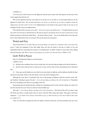### 1PETER 3:12

12 For the eyes of the Lord are over the righteous, and his ears are open unto their prayers: but the face of the Lord is against them that do evil.

Who are the righteous that this verse refers to? In Lesson 22 we saw that we, as born-again believers, are the righteous in Christ Jesus: "For he hath made him to be sin for us, who knew no sin; that we might be made the *righteousness of God in him"* (2 Cor. 5:21). Righteousness is not based on how good or bad we are, but on our standing in Christ. Jesus is our righteousness.

Peter said that God's eyes are over us, and "... *his ears are open unto* [our] *prayers....*" I'm glad God has eyes and ears, aren't you? He sees us and He hears us. His ears are open to ourprayers; but as we saw in verse seven, we can hinder our prayers. God doesn't hinder them — He doesn't refuse to hear — but we can hinder them. Let us take care that we don't hinder them; then we can know His ears are open unto our prayers.

## Watch and Pray

Then in First Peter 4:7 we read, *"But the end of all things is at hand: be ye therefore sober, and watch unto prayer.*" Under the inspiration of the Holy Spirit, Peter saw into the future to the day in which we live and admonished believers concerning the necessity of watchful prayer. In Mark's Gospel we read where Jesus, talking about the last days, said *"Take yeheed, watch and pray: forye know not when the time is"* (Mark 13:33).

# God'sWill inPrayer

John, too, had important things to say about prayer.

1 JOHN 5:14-16

14 And this is the confidence that we have in him, that, if we ask any thing according to his will, he heareth us:

15 And if we know that he hear us, what soever we ask, we know that we have the petitions that we desired of him.

16 If any man see his brother sin a sin which is not unto death, he shall ask, and he shall give him life for them that sin not unto death. There is a sin unto death: I do not say that he shall pray for it.

Although the word "pray" is mentioned only once in this passage of Scripture, John has used the words "ask" and "petition," referring to prayer. He said, "... *if we ask any thing according to his will,he heareth us."* Remember this: If it is according to the Word, it is according to His will.

Some people take the attitude that they will pray for something and if it is God's will, He will give it to them. If it isn't His will, then He won't. However, this isn't what the Bible says.

John said, "... *if* we ask any thing according to his will, he heareth *us.* " His Word is His will. If we know what His Word says about a certain matter, then we know what His Will is about that matter. This agrees with Jesus' statement, "... if ye abide in me, and my words abide in you, ye shall ask what ye will, and it shall be done unto *you"* (John 15:7).

Verse 16 of the above passage has been the subject of much controversy, and most preachers just stay away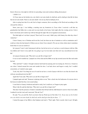from it. However, it ties right in with the two preceding versesand continues talking about prayer:

1 JOHN 5:16

16 If any man see his brother sin a sin which is not unto death, he shall ask, and he shallgive him life for them that sin not unto death. There is a sin unto death: I do not say that he shall pray for it.

John is saying here that if we ask God to forgive someone, this is according to His Word and according to His will, and He will do it.

Some years ago, I was holding a meeting near my hometown in Texas when I received a call that my grandmother had fallen into a coma and was near death at her home. Each night after the evening service I drove back to her home and would sit up with her through the night. She never regained consciousness.

The third night as I sat there I prayed, "Dear Lord, I'm so sorry I didn't pray with Granny the otherday when I visited her."

I knew Granny was a Christian and loved the Lord, but there are sins of omission as well as commission and I could see where she had missed it. (Others can see where I have missed it. We can see where others miss it sometimes better than we can see ourselves.)

So I prayed, "Lord, I wish I had prayed with her. Just let her revive so I can have a word ofprayer with her. (She was elderly and I knew in my spirit she was going to go.) Let me make sure there isn't any unconfessed sin in her life."

As I prayed, Someone said, "Why don't you ask Me to forgive her?"

It was so real it startled me. I jumped out of the chairand the Bible on my lap scooted across the floorand under the bed.

"Who said that?" I asked. I thought someone had heard me praying and was teasing me. However, I found no one when I looked around the room and outside the door. I sat back down and began to study, but I couldn't concentrate, so I started to pray again.

"Lord, why don't You bring her out of it and let me have a word of prayer with her to see that she doesn't die with any unconfessed sin in her life?"

Again that Voice said, "Why don't you ask Me to forgive her?"

I jumped again and said, "Someone is playing tricks on me." But a check into the bedrooms of everyone else in the house revealed that they were sound asleep.

I went back to Granny's bedroom and tried to study, but I could not, so I began to pray again.

When I did, He said the third time, "Why don't you ask Me to forgive her?"

This time I had the presence of mind to remember that Elihad told the child Samuel to answer when God called. I realized it was the Lord,and I answered,"Me ask You?"

He said, "Yes, you ask Me. Don't you know that my Word says in First John 5:16, *'If any man see his brother sin a sin which isnot unto death,he shall ask,and he shall givehim life for them... '? "*

I turned the pages of my Bible to that Scripture and read it. "That's right. That's exactly what it says! All right,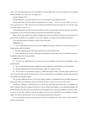Lord, I ask You. Please forgive her. You can forgive her of these things that I can see of omission, and of anything else that she didn't see or I don't see, You forgive her."

He said,"All right, I have."

I thanked Him for it. To me that settled it. Can't you see that this was according to His will?

The last part of that verse does make an exception, however. It says, "... *there is a sin unto death: I do not say that he shall pray for it.*" How will we know if a person has committed this sin unto death? *We will only know this as the HolySpirit reveals it to us.*

Thishashappened to me only two times in my life when I have been praying for someone and the Lord showed me that there was no need to pray for them, because they had sinned the sin unto death.

What is this sin unto death?First, John is not talking about *physical* death here, but about *spiritual* death. This isn't a sin that an unbeliever can commit. It is a sin only a Christian can commit, for he used the term "brother."

Let us look into the Book of Hebrews to find out more about this.

HEBREWS<sub>6:4-6</sub>

4 For it is impossible for those who were once enlightened, and have tasted of the heavenly gift, and were made partakers of the Holy Ghost,

5 And have tasted the good word of God, and the powers of the world to come,

6 If they shall fall away, to renew them again unto repentance; seeing they crucify to themselves the Son of God afresh, and put him to an open shame.

#### HEBREWS10:26-29

26 For if we sin wilfully after that we have received the knowledge of the truth, there remaineth no more sacrifice for sins,

27 But a certain fearful looking forof judgment and fiery indignation, which shalldevour the adversaries.

28 He that despised Moses' law died without mercy under two or three wit nesses:

29 Of how much sorer punishment, suppose ye, shall he be thought worthy, who hath trodden under foot the Son of God, and hath counted the blood of the covenant, wherewith he was sanctified, an unholy thing, and hath done despite unto the Spirit of grace?

The sin God is talking about here is not the sin of lying, cheating, or something like that. God offers forgiveness for such sins. There isno forgiveness,however, for those who have *"trodden under foot theSon of God...."*

The Hebrew Christians to whom this book was written were under great persecution and were tempted to go back to Judaism. When they accepted Christ, they were cut off from their families, ran into financialhardships, and faced numerous other trials. But God warned them in these Scriptures that to go back to Judaism was to deny Christ. It was to say that they would be counting "the blood of the covenant, wherewith he was sanctified, an unholy thing,"or, in other words, that Jesus' blood was just common blood like any other man's.

Let us remember that as long as a person stays in Christ, he is eternally secure. But we don't want to forget that there is a sin unto death.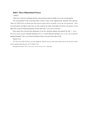## **John's Three-Dimensional Prayer**

#### 3 JOHN 2

2 Beloved, I wish above all things that thou mayest prosper and be in health, even as thy soul prospereth.

The word translated "wish" in the King James Version is "pray" in the original Greek. Therefore, John said here, "Beloved, I PRAY above all things that thou mayest prosper and be in health, even as thy soul prospereth." If he was motivated by the Spirit to pray that way, that would be the desire of the Spirit of God for every person. It is all right, then, to pray for financial prosperity, because John said, "7 *pray above all things....*"

John's prayer here concerns three dimensions of our lives: physical, spiritual, and material. He said, "... / *pray ... that thou mayest prosper* [material blessing] *and be in health* [physical blessing], *even as thy soul prospereth* [spiritual blessing]." Thus, we see that God desires to bless every part of the believer's life.

Memory Text:

"For the eyes of the Lord are over the righteous, and his ears are open unto their prayers: but the face of the *Lord is against them that do evil*" (1 Peter 3:12).

**THE LESSON IN ACTION:** *"Butbeyedoersof theword,andnothearersonly* **..." (James 1:22).**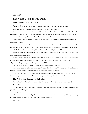# **TheWillof Godin Prayer (Part1)**

**Bible Texts:** John 3:16; 2 Peter 3:9; Acts 16:31

Central Truth: If our prayer request is according to God's Word, it is according to His will.

In the next three lessons we will focus our attention on the will of God in prayer.

As we look at our memory text,First John 5:14, notice the words "confidence" and "heareth": *"And this is the* CONFIDENCE that we have in him, that, if we ask any thing according to his will, he HEARETH us." Another translation of this verse says, "And this is the boldness we have toward him...."

Under what condition can we have confidence that God hears us when we pray? He hears us if we ask anything according to His will!

In the next verse we read, *"And if we know that he hear us, whatsoever we ask, we know that we have the* petitions that we desired of him." Notice that this Scripture says, "And if... he hear us ... we have the petitions that *wedesired...."* It would seem from reading this that there must be something He*doesn 't* hear.

If we don't have this confidence or boldness when we pray, it must mean that the Lord doesn't hear us. If we don't fulfill our part, it won't work.

How can we get confidence, boldness, and faith? The Word of God gives faith: *"So then faith cometh by hearing,and hearing by the word of God"* (Rom.10:17).*"The entrance of thy wordsgiveth light* ..." (Ps. 119:130). *"Thy word isa lamp unto my feet,and a light unto mypath"* (Ps.

119:105).When we walk in the light of the Word, we arenot walking in darkness.

Many times we pray in darkness because we don't know what God's will is. We don't come with confidence or boldness. We come trembling and fearful, hoping He will hear us, but that won't work.

We first need to go to God's Word and find out what it says about our particular problem. Then we can pray in faith, knowing His will in the matter. (Almost everything we need to pray about is covered in His Word.)

### **The Will of God Concerning Salvation**

First of all, we know that saving the lost is God's will, because that is why Jesus came to earth and died.

JOHN 3:16

16 For God so loved the world, that he gave hisonly begotten Son, that whosoeverbelieveth in him should not perish, but have everlasting life.

2PETER 3:9

9 The Lord is not slack concerning his promise, as some men count slackness; but is longsuf f ering to us-ward, not willing that any should perish, but that all should come to repentance.

ACTS16:31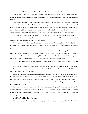31 And they said, Believeon the Lord Jesus Christ,and thou shalt be saved,and thy house.

I don't know of anyone who would pray for a lost loved one by saying, "Lord, *if it is your will,* save him." However, much of our praying for the lost is not effective. Why? Because we do not come with confidence and boldness.

Our text says if we come with confidence and boldness, asking according to His will, we know that God hears us and we have the petitions we desire. That should be clear enough. However, our praying is too often in the natural realm rather than in the spiritual realm. We pray, "God save our loved one," and then we wait to see if God has answered our prayer! If the person gets saved immediately, we believe God heard us. If he doesn't — if we see no change in his life — we think God didn't hear us. This is walking by sight, not by faith, and it brings only confusion.

You might say, "I have prayed and prayed for my unsaved loved ones, and it seems as if my praying doesn't work." Return to God'sWord and you'lldiscover why yourprayersaren't answered: *"And this is the confidence that wehave in him, that, if weaskany thing according to his will..."*

There's no question that it's God's will to save the lost, as we just saw from the Scriptures. The Word of God is the will of God. Therefore, if our request is in accordance with His will, we know we have the petitions we desire of Him.

I once knew a country preacher who, because of his limited education, never had an opportunity to pastor a large church. Most of his pastorates were small community churches. However, he was in constant demand to hold revivals because of his tremendous soul-winning. Wherever he went, a landslide of souls resulted. He could go to a church where no one had been saved in years, and great numbers would accept Christ as Savior.

When he was in his early sixties and still enjoying phenomenal success, I once asked him the secret of his success.

"It is a very simple thing,"he told me. "I just apply the same faith to see folks saved as I do to see them healed or to believe God for anything else. It never enters my mind to doubt that people will come to be saved. If doubt did come, I would resist it in the Nameof Jesus.

"I pray, but not more than others do. I do seek God, of course, but I attribute my success in soul-winning to one thing: *Ihave confidence theunsaved will come.* By the eyeof faith I see the altar filling up with lost souls. And if the meeting doesn't go as wellas it should, I don't necessarily increase my praying about it; I just exercise more faith."

This preacher was expressing the confidence, the boldness, our Scripture text is talking about, because he knew the willof God in the matter.

Some people, on the other hand, only look at the circumstances. They say, "No one came to the altar for salvation last night. They probably won't tonight, either." This kind of person is looking at the wrong thing. He may pray for souls,but he doesnot see them coming to Christ. He really doesn't have confidence that they willcome. His faith is only in what he can see.

### **We Can Nullify Our Prayers**

Often people undo their prayers! They may have prayed and even asked others to pray, but then they nullify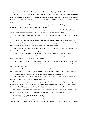theirprayersand the faith of those who arepraying with them by speaking negatively. Talk *faith,*not *doubt!*

I once knew a minister who asked me and others to pray for his son. However, at the same time he was requesting prayer, he would tell his boy, "You'll never amount to anything. I don't know what in the world I'm going to do with you! I have done everything I can do. I have prayed and prayed, but it looks like my prayers don't do any good."

This man was confessing defeat and failure rather than victory and faith. He was building doubt and insecurity into his son. This is why so many peoplehave lost their**children.**

As we pray **for our children,** we must not do anything in our home that would nullify the effects of our prayers. We must build confidence and trust in our children. We must instill a sense of security in them.

Before I was married, I usually stayed in the homes of pastors during revival meetings, and I often felt sorry for their children.

I particularly remember one pastor's 12-year-old son. His parents were impatient and short-tempered with him. They were always telling him he would never amount to anything. Sure enough, he didn't! He broke the hearts of his parents. He was married several times, and he never provided a living for his family.

These parents may have prayed and asked their church to pray. They may have shed many tears and even fasted. But their lives nullified the effects of their prayers.

From the spiritual standpoint as well as the natural standpoint, the things that happen to children in their early years are what mold their lives as adults. Let these years be spiritually rich and meaningful for your children. Let your life match your words.Work with God; don't work against Him.

I also have seen pastors' children neglected. The pastors' wives were so busy working in the church that their children were left alone to do as they pleased. That's why I told my wife when we were first married, "I'll run the church and you run the house."

In the first church we pastored after we were married, we were told it was their custom for the pastor to teach the adult Bible class of men and the pastor's wife to teach the women. I told them my wife didn't teach Sunday School.

They argued, "But it's our custom here. We have been doing this for more than 20 years!"

"Well, I just changed that custom," I replied. "We'll consolidate the two classes and make one big auditorium class, and I will teach it. My wife doesn't teach Sunday School."

When they asked me why, I told them, "I am going to preach and pastor the church. My wife is going to stay home and keep house and take care of me and our children, when we have them. I want her to run things there, and I'll run things here. There are many capable people in the church who can work, so let's put them to work."

When they wanted to make Oretha president of the women's missionary council, I put my foot down again. "She can attend the meetings,"I told them,"but she won't serve in any capacity." Thishaspaid off well forus.

# Authority To Claim Your Family

Every believer has authority in his own household. We have more authority there than we have anywhere else. Acts 16:31 tells us, "... *Believe on the Lord Jesus Christ, and thou shalt be saved, AND THY HOUSE."* Too many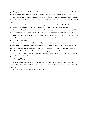people, in praying for their family, have struggled and begged God to save them, but they have not backed up their prayers by claiming the promise. Thus, they have prayed in darkness instead of in the light of God's Word.

Our text says, "... *if we ask any thing according to his will* [we know that salvation for our children is God's will], he heareth us: And if we know that he hear us ... we know that we have the petitions that we desired of him" (1 John 5:14,15).

If *we know* God heard us, we don't have to keep begging Him to save our children. This doesn't mean that the whole family will come to Christ overnight, but as we stand in faith, thanking God, they will be saved.

For us to continue asking and begging God is a confession that we don't believe we have our petition. If we really believed we had the petition we desired of the Lord, as the Scripture says, we would be thanking Him for it!

Sometimes, you see, we go through the right motions but without the right believing. We can go through the motions because someone told us to do so or because someone else did it, but for it to work, we must have faith for the answer down in our hearts.

The thought never entered my mind that our children would not be saved, because I had authority and power in that area. I prayed for them once and claimed their salvation on the basis of the Word. When the thought would come to me that they might not be saved, I would reject it immediately in the Name of Jesus. I had confidence — I had boldness—that our children would be saved because I had prayed according to God's will.

Knowing what the willof God is concerning lost souls, we never should pray, "Lord, if it be your will, save this person."We *know* it is His will!

### **Memory Text:**

"And this is the confidence that we have in him, that, if we ask any thing according to his will, he heareth us: And if we know that he hear us, whatsoever we ask, we know that we have the petitions that we desired of him" (1 John 5:14,15).

THE LESSON IN ACTION: *"Butbe ye doersof the word, and nothearersonly* ..." (James1:22).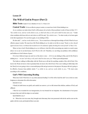# **TheWillof Godin Prayer (Part2)**

**Bible Texts:** Isaiah 53:4,5; Matthew 8:16,17; 1 Peter 2:24

**Central Truth:** To be an effective prayer warrior, we must have God's Word abiding in us.

As we continue our study about God's will in prayer, let us look at these pertinent words of Jesus in John 15:7: "If ye abide in me, and my words abide in you, ye shall ask what ye will, and it shall be done unto you." Under what conditions did Jesus tell us to ask what we will? He said, *"If ye abide in me....*" In other words, to be born again is the first requirement. If we are born again, we are abiding in Him.

He also said, "... and my words abide in you...." So we must have a thorough knowledge of God's Word to be an effective prayer warrior. We must have His Word abiding in us. In order to do this we must *"Study to shew thyself approved unto God,a workman that needeth not to beashamed, rightlydividing the word of truth" (2* Tim.2:15).

When we have God's Word abiding in us, we will know what His will is concerning any matter we need to pray about. As we saw in our last lesson, *God's Word is His will.* Therefore, we can bring our petitions with confidence and boldness to God's throne of grace.

If we have followed steps one and two of the above verse  $\frac{d}{dt}$  if (1) we are abiding in Him, and (2) His Word is abiding in us—we can *"ask what ye will,and it shall bedoneunto you*."What apowerfulpromise!

The believer walking in fellowship with the Word never will ask for anything outside of the will of God. If he knows the Word, he knows what is promised him; he knows the will of God. If he is not walking in fellowship with the Word, he is not going to have a successful prayer life and get answers to his prayers. His prayer life isn't going to be effective, because Jesus plainly stated, "// *ye abide in me, and my words abide in you*…" We must come according to *His* conditions.

### **God's Will Concerning Healing**

What does God's Word have to say about physical healing? Is it His will to heal the sick? Let us look at some Scriptures to determine His will in this matter.

ISAIAH 53:4,5

4 Surely he hath borne ourgriefs, and carried our sorrows: yet we did esteem him stricken, smitten of God, and afflicted.

5 But he was wounded for our transgressions, he was bruised for our iniquities: the chastisement of our peace was upon him; and with his stripes we are healed.

MATTHEW 8:16,17

16 When the even was come, they brought unto him many that were possessed with devils: and he cast out the spirits with his word, and healed all that were sick: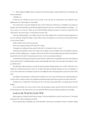17 That it might be fulfilled which was spoken by Esaias the prophet, saying, Himself took our infirmities, and bare our sicknesses.

#### 1PETER 2:24

24 Who his own self bare our sins in his own body on the tree, that we, being dead to sins, should live unto righteousness: by whose stripes ye were healed.

We see from these verses that healing the sick is God's will because Christ bore our infirmities and carried our diseases. Just as He purchased our salvation through His death on the cross, so He has purchased our healing: "... *by whose stripes ye were healed."* When we have His Word firmly settled in ourhearts, we need not wonder if it is His will to heal us. We need not pray, "Lord, heal me *if* it be thy will."

Years ago while pastoring, I was called to pray forone of the members who was ill. Knowing the importance of her own confession of faith for healing, I asked, "Sister, will you be healed now as I anoint you with oil and lay hands on you in Jesus' Name?"

"Well, I will if it's God's will," she answered.

"How are you going to find out if it's His will?" I asked.

"I thought you would pray for me, and if it's His will, 111 be healed. If it isn't, I won't."

Under these circumstances I knew the woman was not going to receive healing. I knew her unbelief would stop the flow of God's healing power. I wanted to talk to her and show her some things from the Word of God before I prayed forher,but she said,"Go ahead and pray for me. I am in so much pain and misery."

I anointed herand prayed,knowing in my heart that she wouldn't receive anything because she wasn't believing in line with the Word. I stumbled through a prayer and had hardly said "amen" when she said to her husband, "Pete, go call the doctor."

The thing that really puzzled me was that she had just gotten through saying if it was God's will for her to be healed, He would heal her and if it wasn't, He wouldn't. She didn't get healed; therefore, by her own admission, it *wasn't* God's will for her to be healed. Yet here she was calling the doctor and paying him to get her out of the will of God!

According to her reasoning, it would seem she wouldn't even *want* to get well,because she would begetting out of God's will. It would be wrong to buy medicine and enlist the help of the doctor to get her out of the will of God.

Certainly this is a foolish line of reasoning, but this is the logic some people follow concerning prayer for their healing.

As we noted before, if we want to know God's will concerning a matter, study His Word. His Word is His will. His Word tells us it *is* His will to heal us. Let's not doubt His Word, but instead claim its promises for our healing.

# Look to the Word for God's Will

Many people try to find the will of God by saying, "If it's His will He'll do it, and if it's not, He won't." We should determine God's will by looking into the Word.

If I am uncertain about something, I go to the Word first. I don't pray in uncertainty,because I would be wasting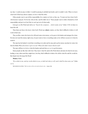my time. I could not pray in faith; I would be praying in unbelief and doubt, and it wouldn't work. When we know what God's Word says about a matter, we *know* what His will is.

Often people want to put all the responsibility for a matter on God, so they say, "It must not have been God's will, because I prayed, 'If it be thy will, do this,' and He didn't do it." These people want to relieve themselves of all responsibility and put it on God. But we can't get out of it that easily.

God gave us His Word and told us to *"Search the scriptures ... which testify of me"* (John 5:39). In them we learn His will.

Then there are those who know what God's Word says **about** a matter,yet they find it difficult to believe it will work in their case.

They are like a man who knows he will need some extra money, so he goes to his banker and arranges for a loan. He doesnot need the money right away; he just wants to have everything ready so he willhave access to it when he needs it.

The man has his banker's word that everything is in order and he may pick up the money anytime he wants, but then he thinks *What if hedoesn 't give it to me? What if hedidn't mean what he said?*

The man will have to *believe* what the banker said and then *act* on *it* to get his money.

Some people are like that with God. They know what He said in His Word about salvation for their loved ones, healing, or any other need they might have, but they find it difficult to believe He will do what He said He would do. But thank God, He keeps His Word!

### **Memory Text:**

"If ye abide in me, and my words abide in you, ye shall ask what ye will, and it shall be done unto you" (John 15:7).

**THE LESSON IN ACTION:** *"Butbeyedoersof theword,andnothearersonly* **..." (James 1:22).**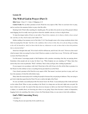## **TheWillof Godin Prayer (Part3)**

**Bible Texts:** 1 Peter 5:7; 3 John 2; Philippians 4:19

**Central Truth:** We can find a promise in God's Word for every aspect of life. Then we can know how to pray, and we can have the assurance before we pray what His will is.

Studying God's Word is like searching for valuable gems. We can find a few jewels on top of the ground without much digging, but if we really want to get down where the valuable veins are, we have to dig for them.

To learn the deeper truths of God, we are told to *"Search the scriptures; for in them ye think ye have eternal life:and theyare they which testifyof* me"(John 5:39).

Surface reading of our memory text in First John 5:14,15 has brought some to the wrong conclusion about what John was saying here. He said, "And this is the confidence that we have in him, that, if we ask any thing according to his will, he heareth us: And if we know that he hear us, whatsoever we ask, we know that we have the petitions *that wedesired of him.*"

Somehave thought John said, "If it is God's will, He willhear me,and if it isn't, He won't." However, that wasn't what he meant. John was saying if we have God's Word on a matter, we don't have to say, "If it be thy will," because we know His Word is His will.

For this reason I encourage people to find Scriptures with a promise concerning what they are praying about. Sometimes when people ask me to pray for them I say, "What Scripture are you standing on?" Many times they answer they have none in particular. "Well," I tell them, "that is what you'll get, then: nothing in particular."

If your request is in accordance with God's Word, that is His will. (It has to be His will for Him to promise it in His Word.) It is His will that we have everything He has provided for us in His Word.

I have found a promise in His Word for every aspect of life. That means I can know just how to pray, and I can have the assurance of what His will is before I pray.

Many times the reason prayer isn't working for people is because they are praying in darkness. They are trying to get God to help them apart from the Word. We are to walk in the light of the Word.

No one can build a successfulprayer life ifhe doesn't know the Word. A successfulprayer life isbuilt and based on the written Word. When we pray according to the Word, it is a lamp unto our feet and a light unto ourpath. We know which way to walk. Too much of the time, however, because we fail to see what God's Word has to say about a subject, we stumble about, not knowing just where we are going. Prayer then becomes a matter of desperation, begging God to do something. But when weknow the Word ahead of time, we can come to God with confidence.

## **God's Will Concerning Worry**

### 1PETER 5:7

7 Casting all your care upon him; for he careth for you.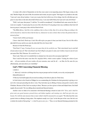A woman with a look of desperation on her face once came to me requesting prayer. She began crying as she said, "Brother Hagin, the cares of life, the anxieties and worries, are just so great." She began to cry harder as she said, "I just can't carry all my burdens. I want you to pray that God willdo one of two things: that He willeithergive me grace to carry them or else take about half of them away. I can carry half of them, but I just can't carry all of them."

"Well, I can't pray that prayer," I told her. "It would be unscriptural." A bewildered look came across her face. I went on to explain, "I cannot pray foryou out of the willof God. If I am going to have any confidence that God will hear my prayer, I must pray in line with the Word of God.

"The Bible tells us, 'And this is the confidence that we have in him, that, if we ask any thing according to his will, he heareth us: And if we know that he hear us, whatsoever we ask, we know that we have the petitions that we *desired of him*.'

"I know God's will foryou because

I know what God's Word says. It isn't His will to give you grace to bear your load of care. Nor is it His will to take half of it away and let you carry the other half. How do I know this?

Because of what His Word says.

"First Peter 5:7 says, *'Casting all your care upon him; for he careth for you.'* That verse doesn't say to cast half ofyourcares; it says*all.* That versedoesn't say God willgiveyou grace to carry your worries; it says to cast *all* your careupon Him.Why? Because *'He careth foryou.'*"

Then I said,"Sister, isn't it wonderful that we already have the answer foryourprayer right here?"

Then I read her this same verse from *The Amplified Bible,* which is more explicit: "Casting the whole of your care — all your anxieties, all your worries, all your concerns, once and for all — on Him; for He cares for you affectionately, and cares about you watchfully."

### **God's Will Concerning Financial Blessing**

3 JOHN 2

2 Beloved, I wish above all things that thou mayest prosperand be in health,even as thy soulprospereth.

### PHILIPPIANS 4:19

19 But my God shallsupply allyourneed according to his riches in glory by Christ Jesus.

In Paul's letter to the Church at Philippi, he was commending the Christians for their generosity in giving, as we see in the verses just preceding the above verse. They had taken up an offering of money and goods to send to other Christians. Because of this,Paul was saying to them, "Because you have given to them and helped them, God shall supply all your needs." He was talking about material and financial matters.

Another verse we think of in connection with financial blessing is found in Luke 6:38: *"Give, and it shall be* given unto you; good measure, pressed down, and shaken together, and running over, shall men give into your bosom. For with the same measure that ye mete withal it shall be measured to you again." We often hear this verse quoted when an offering is being taken. The emphasis usually is on "give" in the first part of the verse. But let's not overlook the results of that giving: "... *it shall be given unto you*...." Thus, we see financial blessings promised in this